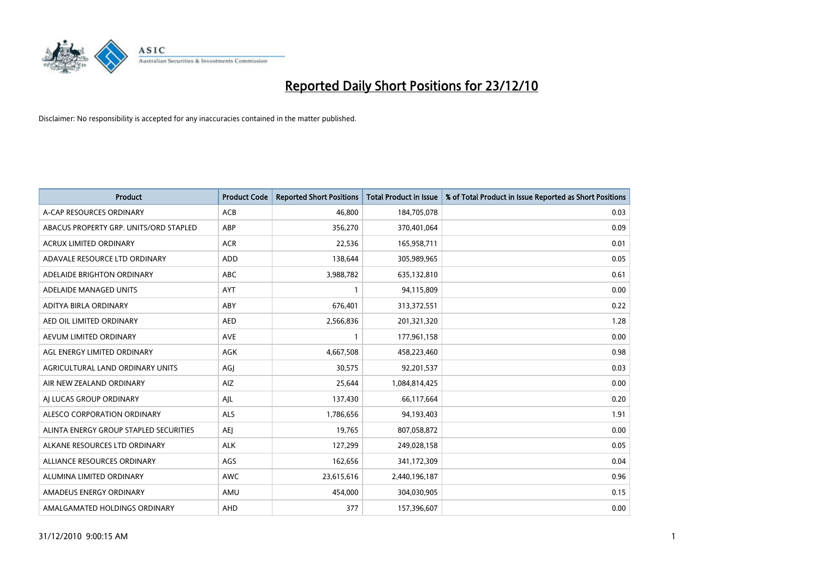

| Product                                | <b>Product Code</b> | <b>Reported Short Positions</b> | <b>Total Product in Issue</b> | % of Total Product in Issue Reported as Short Positions |
|----------------------------------------|---------------------|---------------------------------|-------------------------------|---------------------------------------------------------|
| A-CAP RESOURCES ORDINARY               | <b>ACB</b>          | 46.800                          | 184,705,078                   | 0.03                                                    |
| ABACUS PROPERTY GRP. UNITS/ORD STAPLED | ABP                 | 356,270                         | 370,401,064                   | 0.09                                                    |
| <b>ACRUX LIMITED ORDINARY</b>          | <b>ACR</b>          | 22,536                          | 165,958,711                   | 0.01                                                    |
| ADAVALE RESOURCE LTD ORDINARY          | <b>ADD</b>          | 138,644                         | 305,989,965                   | 0.05                                                    |
| ADELAIDE BRIGHTON ORDINARY             | <b>ABC</b>          | 3,988,782                       | 635,132,810                   | 0.61                                                    |
| ADELAIDE MANAGED UNITS                 | <b>AYT</b>          | $\mathbf{1}$                    | 94,115,809                    | 0.00                                                    |
| ADITYA BIRLA ORDINARY                  | ABY                 | 676,401                         | 313,372,551                   | 0.22                                                    |
| AED OIL LIMITED ORDINARY               | <b>AED</b>          | 2,566,836                       | 201,321,320                   | 1.28                                                    |
| AEVUM LIMITED ORDINARY                 | <b>AVE</b>          | $\mathbf{1}$                    | 177,961,158                   | 0.00                                                    |
| AGL ENERGY LIMITED ORDINARY            | AGK                 | 4,667,508                       | 458,223,460                   | 0.98                                                    |
| AGRICULTURAL LAND ORDINARY UNITS       | AGJ                 | 30,575                          | 92,201,537                    | 0.03                                                    |
| AIR NEW ZEALAND ORDINARY               | AIZ                 | 25,644                          | 1,084,814,425                 | 0.00                                                    |
| AJ LUCAS GROUP ORDINARY                | AJL                 | 137,430                         | 66,117,664                    | 0.20                                                    |
| ALESCO CORPORATION ORDINARY            | ALS                 | 1,786,656                       | 94,193,403                    | 1.91                                                    |
| ALINTA ENERGY GROUP STAPLED SECURITIES | <b>AEJ</b>          | 19,765                          | 807,058,872                   | 0.00                                                    |
| ALKANE RESOURCES LTD ORDINARY          | <b>ALK</b>          | 127,299                         | 249,028,158                   | 0.05                                                    |
| ALLIANCE RESOURCES ORDINARY            | AGS                 | 162,656                         | 341,172,309                   | 0.04                                                    |
| ALUMINA LIMITED ORDINARY               | <b>AWC</b>          | 23,615,616                      | 2,440,196,187                 | 0.96                                                    |
| AMADEUS ENERGY ORDINARY                | AMU                 | 454,000                         | 304,030,905                   | 0.15                                                    |
| AMALGAMATED HOLDINGS ORDINARY          | AHD                 | 377                             | 157,396,607                   | 0.00                                                    |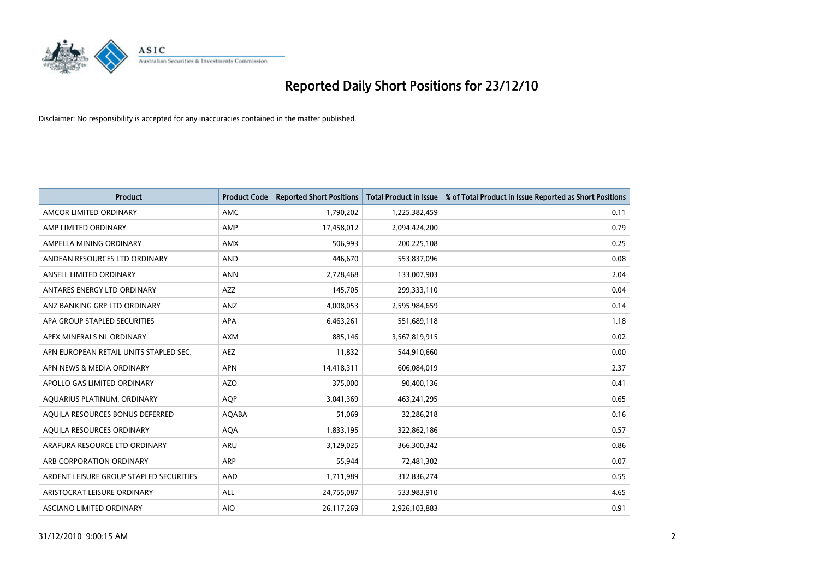

| <b>Product</b>                          | <b>Product Code</b> | <b>Reported Short Positions</b> | <b>Total Product in Issue</b> | % of Total Product in Issue Reported as Short Positions |
|-----------------------------------------|---------------------|---------------------------------|-------------------------------|---------------------------------------------------------|
| AMCOR LIMITED ORDINARY                  | <b>AMC</b>          | 1,790,202                       | 1,225,382,459                 | 0.11                                                    |
| AMP LIMITED ORDINARY                    | AMP                 | 17,458,012                      | 2,094,424,200                 | 0.79                                                    |
| AMPELLA MINING ORDINARY                 | <b>AMX</b>          | 506,993                         | 200,225,108                   | 0.25                                                    |
| ANDEAN RESOURCES LTD ORDINARY           | <b>AND</b>          | 446,670                         | 553,837,096                   | 0.08                                                    |
| ANSELL LIMITED ORDINARY                 | <b>ANN</b>          | 2,728,468                       | 133,007,903                   | 2.04                                                    |
| ANTARES ENERGY LTD ORDINARY             | <b>AZZ</b>          | 145,705                         | 299,333,110                   | 0.04                                                    |
| ANZ BANKING GRP LTD ORDINARY            | ANZ                 | 4,008,053                       | 2,595,984,659                 | 0.14                                                    |
| APA GROUP STAPLED SECURITIES            | <b>APA</b>          | 6,463,261                       | 551,689,118                   | 1.18                                                    |
| APEX MINERALS NL ORDINARY               | <b>AXM</b>          | 885,146                         | 3,567,819,915                 | 0.02                                                    |
| APN EUROPEAN RETAIL UNITS STAPLED SEC.  | <b>AEZ</b>          | 11,832                          | 544,910,660                   | 0.00                                                    |
| APN NEWS & MEDIA ORDINARY               | <b>APN</b>          | 14,418,311                      | 606,084,019                   | 2.37                                                    |
| APOLLO GAS LIMITED ORDINARY             | <b>AZO</b>          | 375,000                         | 90,400,136                    | 0.41                                                    |
| AQUARIUS PLATINUM. ORDINARY             | <b>AOP</b>          | 3,041,369                       | 463,241,295                   | 0.65                                                    |
| AOUILA RESOURCES BONUS DEFERRED         | <b>AQABA</b>        | 51.069                          | 32,286,218                    | 0.16                                                    |
| AQUILA RESOURCES ORDINARY               | <b>AQA</b>          | 1,833,195                       | 322,862,186                   | 0.57                                                    |
| ARAFURA RESOURCE LTD ORDINARY           | <b>ARU</b>          | 3,129,025                       | 366,300,342                   | 0.86                                                    |
| ARB CORPORATION ORDINARY                | <b>ARP</b>          | 55,944                          | 72,481,302                    | 0.07                                                    |
| ARDENT LEISURE GROUP STAPLED SECURITIES | AAD                 | 1,711,989                       | 312,836,274                   | 0.55                                                    |
| ARISTOCRAT LEISURE ORDINARY             | ALL                 | 24,755,087                      | 533,983,910                   | 4.65                                                    |
| ASCIANO LIMITED ORDINARY                | <b>AIO</b>          | 26,117,269                      | 2,926,103,883                 | 0.91                                                    |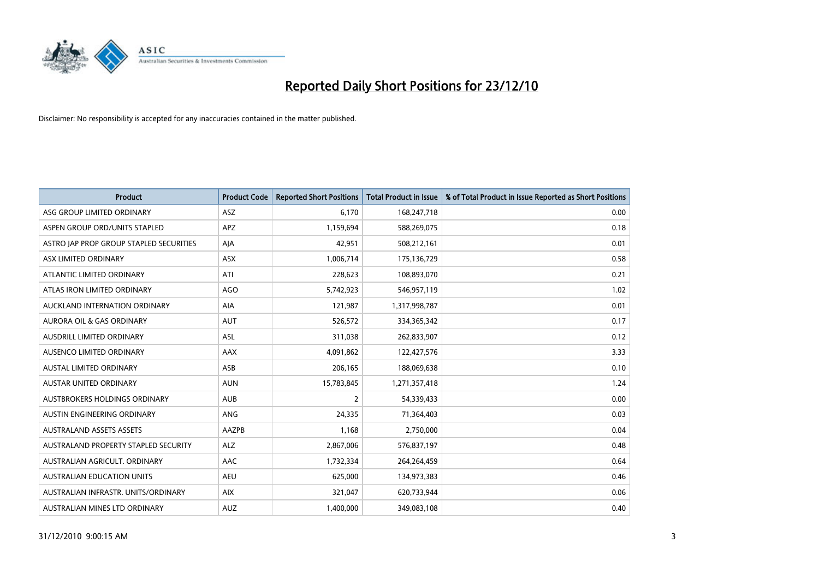

| <b>Product</b>                          | <b>Product Code</b> | <b>Reported Short Positions</b> | <b>Total Product in Issue</b> | % of Total Product in Issue Reported as Short Positions |
|-----------------------------------------|---------------------|---------------------------------|-------------------------------|---------------------------------------------------------|
| ASG GROUP LIMITED ORDINARY              | <b>ASZ</b>          | 6,170                           | 168,247,718                   | 0.00                                                    |
| ASPEN GROUP ORD/UNITS STAPLED           | <b>APZ</b>          | 1,159,694                       | 588,269,075                   | 0.18                                                    |
| ASTRO JAP PROP GROUP STAPLED SECURITIES | AJA                 | 42,951                          | 508,212,161                   | 0.01                                                    |
| ASX LIMITED ORDINARY                    | ASX                 | 1,006,714                       | 175,136,729                   | 0.58                                                    |
| ATLANTIC LIMITED ORDINARY               | ATI                 | 228,623                         | 108,893,070                   | 0.21                                                    |
| ATLAS IRON LIMITED ORDINARY             | <b>AGO</b>          | 5,742,923                       | 546,957,119                   | 1.02                                                    |
| AUCKLAND INTERNATION ORDINARY           | AIA                 | 121,987                         | 1,317,998,787                 | 0.01                                                    |
| <b>AURORA OIL &amp; GAS ORDINARY</b>    | <b>AUT</b>          | 526,572                         | 334,365,342                   | 0.17                                                    |
| AUSDRILL LIMITED ORDINARY               | ASL                 | 311,038                         | 262,833,907                   | 0.12                                                    |
| AUSENCO LIMITED ORDINARY                | <b>AAX</b>          | 4,091,862                       | 122,427,576                   | 3.33                                                    |
| AUSTAL LIMITED ORDINARY                 | ASB                 | 206,165                         | 188,069,638                   | 0.10                                                    |
| <b>AUSTAR UNITED ORDINARY</b>           | <b>AUN</b>          | 15,783,845                      | 1,271,357,418                 | 1.24                                                    |
| AUSTBROKERS HOLDINGS ORDINARY           | <b>AUB</b>          | $\overline{2}$                  | 54,339,433                    | 0.00                                                    |
| AUSTIN ENGINEERING ORDINARY             | ANG                 | 24,335                          | 71,364,403                    | 0.03                                                    |
| <b>AUSTRALAND ASSETS ASSETS</b>         | AAZPB               | 1,168                           | 2,750,000                     | 0.04                                                    |
| AUSTRALAND PROPERTY STAPLED SECURITY    | <b>ALZ</b>          | 2,867,006                       | 576,837,197                   | 0.48                                                    |
| AUSTRALIAN AGRICULT, ORDINARY           | AAC                 | 1,732,334                       | 264,264,459                   | 0.64                                                    |
| <b>AUSTRALIAN EDUCATION UNITS</b>       | <b>AEU</b>          | 625,000                         | 134,973,383                   | 0.46                                                    |
| AUSTRALIAN INFRASTR, UNITS/ORDINARY     | <b>AIX</b>          | 321,047                         | 620,733,944                   | 0.06                                                    |
| AUSTRALIAN MINES LTD ORDINARY           | <b>AUZ</b>          | 1,400,000                       | 349,083,108                   | 0.40                                                    |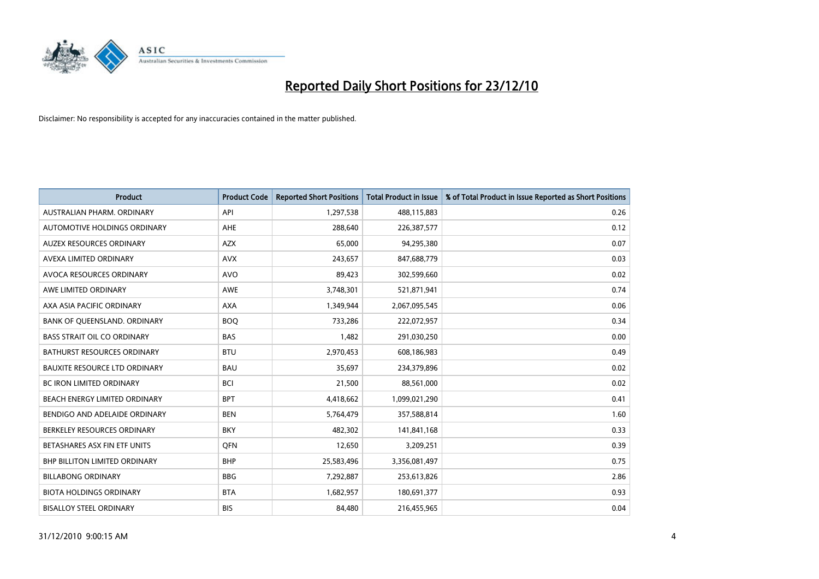

| Product                              | <b>Product Code</b> | <b>Reported Short Positions</b> | <b>Total Product in Issue</b> | % of Total Product in Issue Reported as Short Positions |
|--------------------------------------|---------------------|---------------------------------|-------------------------------|---------------------------------------------------------|
| <b>AUSTRALIAN PHARM, ORDINARY</b>    | API                 | 1,297,538                       | 488,115,883                   | 0.26                                                    |
| AUTOMOTIVE HOLDINGS ORDINARY         | <b>AHE</b>          | 288,640                         | 226,387,577                   | 0.12                                                    |
| AUZEX RESOURCES ORDINARY             | <b>AZX</b>          | 65,000                          | 94,295,380                    | 0.07                                                    |
| AVEXA LIMITED ORDINARY               | <b>AVX</b>          | 243,657                         | 847,688,779                   | 0.03                                                    |
| AVOCA RESOURCES ORDINARY             | <b>AVO</b>          | 89,423                          | 302,599,660                   | 0.02                                                    |
| AWE LIMITED ORDINARY                 | <b>AWE</b>          | 3,748,301                       | 521,871,941                   | 0.74                                                    |
| AXA ASIA PACIFIC ORDINARY            | <b>AXA</b>          | 1,349,944                       | 2,067,095,545                 | 0.06                                                    |
| BANK OF QUEENSLAND. ORDINARY         | <b>BOO</b>          | 733,286                         | 222,072,957                   | 0.34                                                    |
| <b>BASS STRAIT OIL CO ORDINARY</b>   | <b>BAS</b>          | 1,482                           | 291,030,250                   | 0.00                                                    |
| <b>BATHURST RESOURCES ORDINARY</b>   | <b>BTU</b>          | 2,970,453                       | 608,186,983                   | 0.49                                                    |
| <b>BAUXITE RESOURCE LTD ORDINARY</b> | <b>BAU</b>          | 35,697                          | 234,379,896                   | 0.02                                                    |
| <b>BC IRON LIMITED ORDINARY</b>      | <b>BCI</b>          | 21,500                          | 88,561,000                    | 0.02                                                    |
| BEACH ENERGY LIMITED ORDINARY        | <b>BPT</b>          | 4,418,662                       | 1,099,021,290                 | 0.41                                                    |
| BENDIGO AND ADELAIDE ORDINARY        | <b>BEN</b>          | 5,764,479                       | 357,588,814                   | 1.60                                                    |
| BERKELEY RESOURCES ORDINARY          | <b>BKY</b>          | 482,302                         | 141,841,168                   | 0.33                                                    |
| BETASHARES ASX FIN ETF UNITS         | <b>OFN</b>          | 12,650                          | 3,209,251                     | 0.39                                                    |
| BHP BILLITON LIMITED ORDINARY        | <b>BHP</b>          | 25,583,496                      | 3,356,081,497                 | 0.75                                                    |
| <b>BILLABONG ORDINARY</b>            | <b>BBG</b>          | 7,292,887                       | 253,613,826                   | 2.86                                                    |
| <b>BIOTA HOLDINGS ORDINARY</b>       | <b>BTA</b>          | 1,682,957                       | 180,691,377                   | 0.93                                                    |
| <b>BISALLOY STEEL ORDINARY</b>       | <b>BIS</b>          | 84,480                          | 216,455,965                   | 0.04                                                    |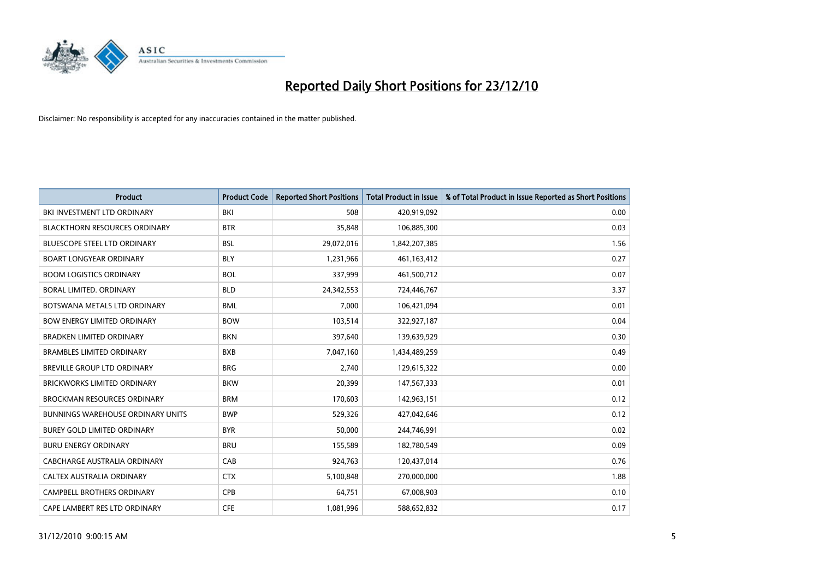

| Product                                  | <b>Product Code</b> | <b>Reported Short Positions</b> | <b>Total Product in Issue</b> | % of Total Product in Issue Reported as Short Positions |
|------------------------------------------|---------------------|---------------------------------|-------------------------------|---------------------------------------------------------|
| BKI INVESTMENT LTD ORDINARY              | BKI                 | 508                             | 420,919,092                   | 0.00                                                    |
| <b>BLACKTHORN RESOURCES ORDINARY</b>     | <b>BTR</b>          | 35,848                          | 106,885,300                   | 0.03                                                    |
| <b>BLUESCOPE STEEL LTD ORDINARY</b>      | <b>BSL</b>          | 29,072,016                      | 1,842,207,385                 | 1.56                                                    |
| <b>BOART LONGYEAR ORDINARY</b>           | <b>BLY</b>          | 1,231,966                       | 461,163,412                   | 0.27                                                    |
| <b>BOOM LOGISTICS ORDINARY</b>           | <b>BOL</b>          | 337,999                         | 461,500,712                   | 0.07                                                    |
| BORAL LIMITED. ORDINARY                  | <b>BLD</b>          | 24,342,553                      | 724,446,767                   | 3.37                                                    |
| BOTSWANA METALS LTD ORDINARY             | <b>BML</b>          | 7,000                           | 106,421,094                   | 0.01                                                    |
| <b>BOW ENERGY LIMITED ORDINARY</b>       | <b>BOW</b>          | 103,514                         | 322,927,187                   | 0.04                                                    |
| <b>BRADKEN LIMITED ORDINARY</b>          | <b>BKN</b>          | 397,640                         | 139,639,929                   | 0.30                                                    |
| <b>BRAMBLES LIMITED ORDINARY</b>         | <b>BXB</b>          | 7,047,160                       | 1,434,489,259                 | 0.49                                                    |
| <b>BREVILLE GROUP LTD ORDINARY</b>       | <b>BRG</b>          | 2,740                           | 129,615,322                   | 0.00                                                    |
| <b>BRICKWORKS LIMITED ORDINARY</b>       | <b>BKW</b>          | 20,399                          | 147,567,333                   | 0.01                                                    |
| <b>BROCKMAN RESOURCES ORDINARY</b>       | <b>BRM</b>          | 170,603                         | 142,963,151                   | 0.12                                                    |
| <b>BUNNINGS WAREHOUSE ORDINARY UNITS</b> | <b>BWP</b>          | 529,326                         | 427,042,646                   | 0.12                                                    |
| <b>BUREY GOLD LIMITED ORDINARY</b>       | <b>BYR</b>          | 50,000                          | 244,746,991                   | 0.02                                                    |
| <b>BURU ENERGY ORDINARY</b>              | <b>BRU</b>          | 155,589                         | 182,780,549                   | 0.09                                                    |
| CABCHARGE AUSTRALIA ORDINARY             | CAB                 | 924,763                         | 120,437,014                   | 0.76                                                    |
| CALTEX AUSTRALIA ORDINARY                | <b>CTX</b>          | 5,100,848                       | 270,000,000                   | 1.88                                                    |
| <b>CAMPBELL BROTHERS ORDINARY</b>        | <b>CPB</b>          | 64,751                          | 67,008,903                    | 0.10                                                    |
| CAPE LAMBERT RES LTD ORDINARY            | <b>CFE</b>          | 1,081,996                       | 588,652,832                   | 0.17                                                    |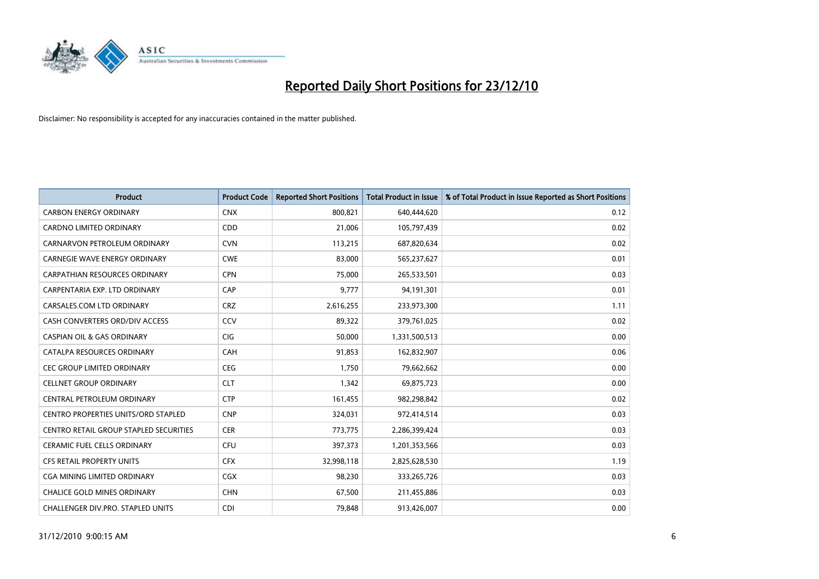

| <b>Product</b>                                | <b>Product Code</b> | <b>Reported Short Positions</b> | <b>Total Product in Issue</b> | % of Total Product in Issue Reported as Short Positions |
|-----------------------------------------------|---------------------|---------------------------------|-------------------------------|---------------------------------------------------------|
| <b>CARBON ENERGY ORDINARY</b>                 | <b>CNX</b>          | 800,821                         | 640,444,620                   | 0.12                                                    |
| <b>CARDNO LIMITED ORDINARY</b>                | <b>CDD</b>          | 21,006                          | 105,797,439                   | 0.02                                                    |
| CARNARVON PETROLEUM ORDINARY                  | <b>CVN</b>          | 113,215                         | 687,820,634                   | 0.02                                                    |
| CARNEGIE WAVE ENERGY ORDINARY                 | <b>CWE</b>          | 83,000                          | 565,237,627                   | 0.01                                                    |
| <b>CARPATHIAN RESOURCES ORDINARY</b>          | <b>CPN</b>          | 75,000                          | 265,533,501                   | 0.03                                                    |
| CARPENTARIA EXP. LTD ORDINARY                 | CAP                 | 9,777                           | 94,191,301                    | 0.01                                                    |
| CARSALES.COM LTD ORDINARY                     | <b>CRZ</b>          | 2,616,255                       | 233,973,300                   | 1.11                                                    |
| CASH CONVERTERS ORD/DIV ACCESS                | CCV                 | 89,322                          | 379,761,025                   | 0.02                                                    |
| <b>CASPIAN OIL &amp; GAS ORDINARY</b>         | <b>CIG</b>          | 50,000                          | 1,331,500,513                 | 0.00                                                    |
| CATALPA RESOURCES ORDINARY                    | CAH                 | 91,853                          | 162,832,907                   | 0.06                                                    |
| CEC GROUP LIMITED ORDINARY                    | <b>CEG</b>          | 1,750                           | 79,662,662                    | 0.00                                                    |
| <b>CELLNET GROUP ORDINARY</b>                 | <b>CLT</b>          | 1,342                           | 69,875,723                    | 0.00                                                    |
| CENTRAL PETROLEUM ORDINARY                    | <b>CTP</b>          | 161,455                         | 982,298,842                   | 0.02                                                    |
| <b>CENTRO PROPERTIES UNITS/ORD STAPLED</b>    | <b>CNP</b>          | 324,031                         | 972,414,514                   | 0.03                                                    |
| <b>CENTRO RETAIL GROUP STAPLED SECURITIES</b> | <b>CER</b>          | 773,775                         | 2,286,399,424                 | 0.03                                                    |
| CERAMIC FUEL CELLS ORDINARY                   | <b>CFU</b>          | 397,373                         | 1,201,353,566                 | 0.03                                                    |
| CFS RETAIL PROPERTY UNITS                     | <b>CFX</b>          | 32,998,118                      | 2,825,628,530                 | 1.19                                                    |
| CGA MINING LIMITED ORDINARY                   | <b>CGX</b>          | 98,230                          | 333,265,726                   | 0.03                                                    |
| <b>CHALICE GOLD MINES ORDINARY</b>            | <b>CHN</b>          | 67,500                          | 211,455,886                   | 0.03                                                    |
| CHALLENGER DIV.PRO. STAPLED UNITS             | <b>CDI</b>          | 79,848                          | 913,426,007                   | 0.00                                                    |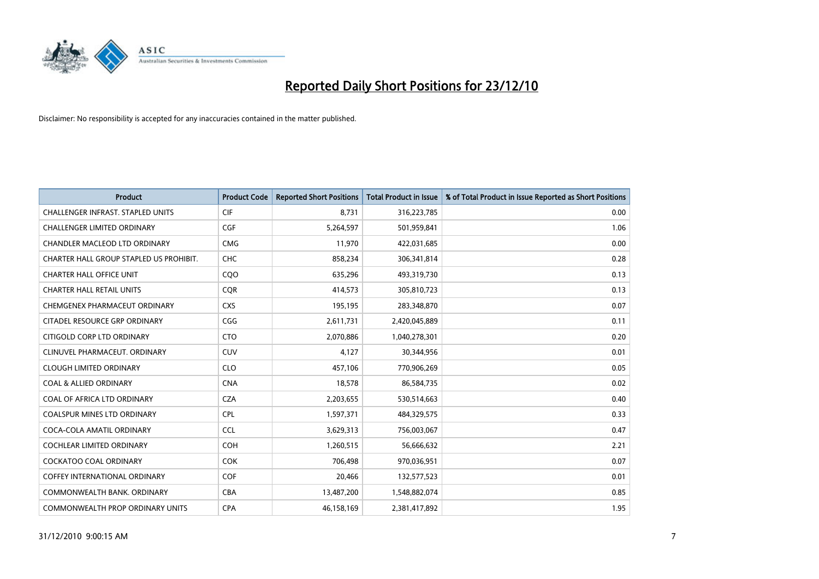

| Product                                  | <b>Product Code</b> | <b>Reported Short Positions</b> | <b>Total Product in Issue</b> | % of Total Product in Issue Reported as Short Positions |
|------------------------------------------|---------------------|---------------------------------|-------------------------------|---------------------------------------------------------|
| <b>CHALLENGER INFRAST, STAPLED UNITS</b> | CIF                 | 8,731                           | 316,223,785                   | 0.00                                                    |
| CHALLENGER LIMITED ORDINARY              | <b>CGF</b>          | 5,264,597                       | 501,959,841                   | 1.06                                                    |
| CHANDLER MACLEOD LTD ORDINARY            | <b>CMG</b>          | 11,970                          | 422,031,685                   | 0.00                                                    |
| CHARTER HALL GROUP STAPLED US PROHIBIT.  | CHC                 | 858,234                         | 306,341,814                   | 0.28                                                    |
| <b>CHARTER HALL OFFICE UNIT</b>          | COO                 | 635,296                         | 493,319,730                   | 0.13                                                    |
| <b>CHARTER HALL RETAIL UNITS</b>         | <b>CQR</b>          | 414,573                         | 305,810,723                   | 0.13                                                    |
| CHEMGENEX PHARMACEUT ORDINARY            | <b>CXS</b>          | 195,195                         | 283,348,870                   | 0.07                                                    |
| CITADEL RESOURCE GRP ORDINARY            | CGG                 | 2,611,731                       | 2,420,045,889                 | 0.11                                                    |
| CITIGOLD CORP LTD ORDINARY               | <b>CTO</b>          | 2,070,886                       | 1,040,278,301                 | 0.20                                                    |
| CLINUVEL PHARMACEUT, ORDINARY            | <b>CUV</b>          | 4,127                           | 30,344,956                    | 0.01                                                    |
| <b>CLOUGH LIMITED ORDINARY</b>           | <b>CLO</b>          | 457,106                         | 770,906,269                   | 0.05                                                    |
| <b>COAL &amp; ALLIED ORDINARY</b>        | <b>CNA</b>          | 18,578                          | 86,584,735                    | 0.02                                                    |
| COAL OF AFRICA LTD ORDINARY              | <b>CZA</b>          | 2,203,655                       | 530,514,663                   | 0.40                                                    |
| <b>COALSPUR MINES LTD ORDINARY</b>       | <b>CPL</b>          | 1,597,371                       | 484,329,575                   | 0.33                                                    |
| COCA-COLA AMATIL ORDINARY                | <b>CCL</b>          | 3,629,313                       | 756,003,067                   | 0.47                                                    |
| COCHLEAR LIMITED ORDINARY                | <b>COH</b>          | 1,260,515                       | 56,666,632                    | 2.21                                                    |
| COCKATOO COAL ORDINARY                   | <b>COK</b>          | 706,498                         | 970,036,951                   | 0.07                                                    |
| <b>COFFEY INTERNATIONAL ORDINARY</b>     | <b>COF</b>          | 20,466                          | 132,577,523                   | 0.01                                                    |
| COMMONWEALTH BANK, ORDINARY              | <b>CBA</b>          | 13,487,200                      | 1,548,882,074                 | 0.85                                                    |
| <b>COMMONWEALTH PROP ORDINARY UNITS</b>  | <b>CPA</b>          | 46,158,169                      | 2,381,417,892                 | 1.95                                                    |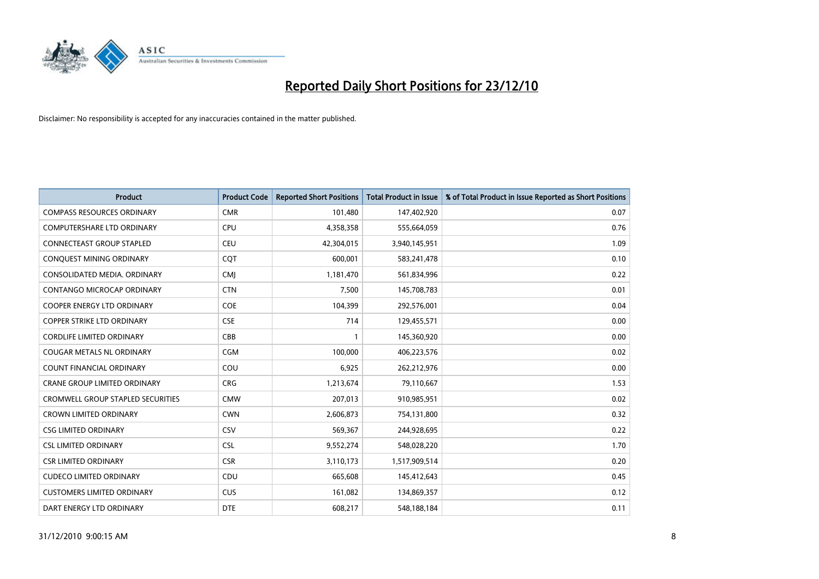

| <b>Product</b>                      | <b>Product Code</b> | <b>Reported Short Positions</b> | <b>Total Product in Issue</b> | % of Total Product in Issue Reported as Short Positions |
|-------------------------------------|---------------------|---------------------------------|-------------------------------|---------------------------------------------------------|
| <b>COMPASS RESOURCES ORDINARY</b>   | <b>CMR</b>          | 101,480                         | 147,402,920                   | 0.07                                                    |
| COMPUTERSHARE LTD ORDINARY          | <b>CPU</b>          | 4,358,358                       | 555,664,059                   | 0.76                                                    |
| <b>CONNECTEAST GROUP STAPLED</b>    | <b>CEU</b>          | 42,304,015                      | 3,940,145,951                 | 1.09                                                    |
| CONQUEST MINING ORDINARY            | CQT                 | 600,001                         | 583,241,478                   | 0.10                                                    |
| CONSOLIDATED MEDIA, ORDINARY        | <b>CMI</b>          | 1,181,470                       | 561,834,996                   | 0.22                                                    |
| CONTANGO MICROCAP ORDINARY          | <b>CTN</b>          | 7,500                           | 145,708,783                   | 0.01                                                    |
| <b>COOPER ENERGY LTD ORDINARY</b>   | <b>COE</b>          | 104,399                         | 292,576,001                   | 0.04                                                    |
| <b>COPPER STRIKE LTD ORDINARY</b>   | <b>CSE</b>          | 714                             | 129,455,571                   | 0.00                                                    |
| <b>CORDLIFE LIMITED ORDINARY</b>    | CBB                 | 1                               | 145,360,920                   | 0.00                                                    |
| <b>COUGAR METALS NL ORDINARY</b>    | <b>CGM</b>          | 100,000                         | 406,223,576                   | 0.02                                                    |
| COUNT FINANCIAL ORDINARY            | COU                 | 6,925                           | 262,212,976                   | 0.00                                                    |
| <b>CRANE GROUP LIMITED ORDINARY</b> | <b>CRG</b>          | 1,213,674                       | 79,110,667                    | 1.53                                                    |
| CROMWELL GROUP STAPLED SECURITIES   | <b>CMW</b>          | 207,013                         | 910,985,951                   | 0.02                                                    |
| <b>CROWN LIMITED ORDINARY</b>       | <b>CWN</b>          | 2,606,873                       | 754,131,800                   | 0.32                                                    |
| <b>CSG LIMITED ORDINARY</b>         | CSV                 | 569,367                         | 244,928,695                   | 0.22                                                    |
| <b>CSL LIMITED ORDINARY</b>         | <b>CSL</b>          | 9,552,274                       | 548,028,220                   | 1.70                                                    |
| <b>CSR LIMITED ORDINARY</b>         | <b>CSR</b>          | 3,110,173                       | 1,517,909,514                 | 0.20                                                    |
| <b>CUDECO LIMITED ORDINARY</b>      | CDU                 | 665,608                         | 145,412,643                   | 0.45                                                    |
| <b>CUSTOMERS LIMITED ORDINARY</b>   | CUS                 | 161,082                         | 134,869,357                   | 0.12                                                    |
| DART ENERGY LTD ORDINARY            | <b>DTE</b>          | 608,217                         | 548,188,184                   | 0.11                                                    |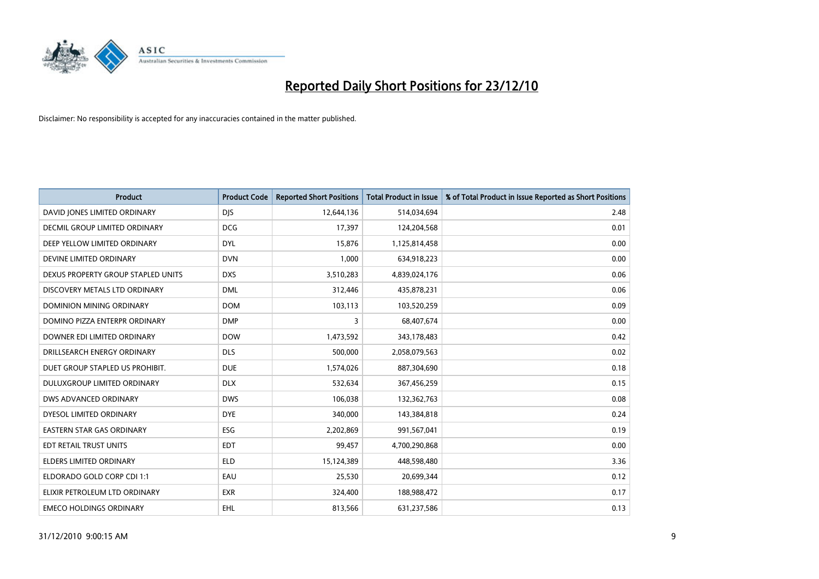

| Product                            | <b>Product Code</b> | <b>Reported Short Positions</b> | <b>Total Product in Issue</b> | % of Total Product in Issue Reported as Short Positions |
|------------------------------------|---------------------|---------------------------------|-------------------------------|---------------------------------------------------------|
| DAVID JONES LIMITED ORDINARY       | <b>DJS</b>          | 12,644,136                      | 514,034,694                   | 2.48                                                    |
| DECMIL GROUP LIMITED ORDINARY      | <b>DCG</b>          | 17,397                          | 124,204,568                   | 0.01                                                    |
| DEEP YELLOW LIMITED ORDINARY       | <b>DYL</b>          | 15,876                          | 1,125,814,458                 | 0.00                                                    |
| DEVINE LIMITED ORDINARY            | <b>DVN</b>          | 1,000                           | 634,918,223                   | 0.00                                                    |
| DEXUS PROPERTY GROUP STAPLED UNITS | <b>DXS</b>          | 3,510,283                       | 4,839,024,176                 | 0.06                                                    |
| DISCOVERY METALS LTD ORDINARY      | <b>DML</b>          | 312,446                         | 435,878,231                   | 0.06                                                    |
| DOMINION MINING ORDINARY           | <b>DOM</b>          | 103,113                         | 103,520,259                   | 0.09                                                    |
| DOMINO PIZZA ENTERPR ORDINARY      | <b>DMP</b>          | 3                               | 68,407,674                    | 0.00                                                    |
| DOWNER EDI LIMITED ORDINARY        | <b>DOW</b>          | 1,473,592                       | 343,178,483                   | 0.42                                                    |
| DRILLSEARCH ENERGY ORDINARY        | <b>DLS</b>          | 500,000                         | 2,058,079,563                 | 0.02                                                    |
| DUET GROUP STAPLED US PROHIBIT.    | <b>DUE</b>          | 1,574,026                       | 887,304,690                   | 0.18                                                    |
| <b>DULUXGROUP LIMITED ORDINARY</b> | <b>DLX</b>          | 532,634                         | 367,456,259                   | 0.15                                                    |
| DWS ADVANCED ORDINARY              | <b>DWS</b>          | 106,038                         | 132,362,763                   | 0.08                                                    |
| DYESOL LIMITED ORDINARY            | <b>DYE</b>          | 340,000                         | 143,384,818                   | 0.24                                                    |
| <b>EASTERN STAR GAS ORDINARY</b>   | <b>ESG</b>          | 2,202,869                       | 991,567,041                   | 0.19                                                    |
| EDT RETAIL TRUST UNITS             | <b>EDT</b>          | 99,457                          | 4,700,290,868                 | 0.00                                                    |
| ELDERS LIMITED ORDINARY            | <b>ELD</b>          | 15,124,389                      | 448,598,480                   | 3.36                                                    |
| ELDORADO GOLD CORP CDI 1:1         | EAU                 | 25,530                          | 20,699,344                    | 0.12                                                    |
| ELIXIR PETROLEUM LTD ORDINARY      | <b>EXR</b>          | 324,400                         | 188,988,472                   | 0.17                                                    |
| <b>EMECO HOLDINGS ORDINARY</b>     | <b>EHL</b>          | 813,566                         | 631,237,586                   | 0.13                                                    |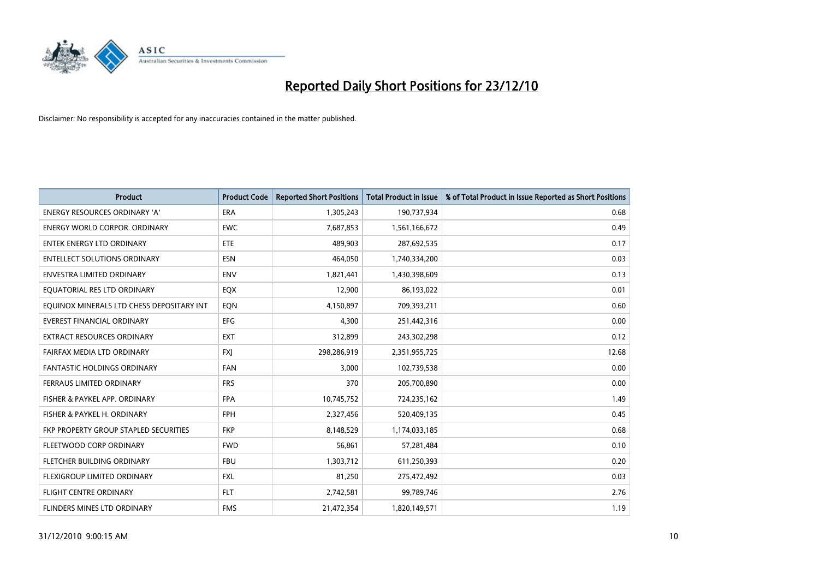

| <b>Product</b>                            | <b>Product Code</b> | <b>Reported Short Positions</b> | <b>Total Product in Issue</b> | % of Total Product in Issue Reported as Short Positions |
|-------------------------------------------|---------------------|---------------------------------|-------------------------------|---------------------------------------------------------|
| <b>ENERGY RESOURCES ORDINARY 'A'</b>      | <b>ERA</b>          | 1,305,243                       | 190,737,934                   | 0.68                                                    |
| ENERGY WORLD CORPOR. ORDINARY             | <b>EWC</b>          | 7,687,853                       | 1,561,166,672                 | 0.49                                                    |
| ENTEK ENERGY LTD ORDINARY                 | <b>ETE</b>          | 489,903                         | 287,692,535                   | 0.17                                                    |
| <b>ENTELLECT SOLUTIONS ORDINARY</b>       | <b>ESN</b>          | 464,050                         | 1,740,334,200                 | 0.03                                                    |
| <b>ENVESTRA LIMITED ORDINARY</b>          | <b>ENV</b>          | 1,821,441                       | 1,430,398,609                 | 0.13                                                    |
| EQUATORIAL RES LTD ORDINARY               | EQX                 | 12,900                          | 86,193,022                    | 0.01                                                    |
| EQUINOX MINERALS LTD CHESS DEPOSITARY INT | EQN                 | 4,150,897                       | 709,393,211                   | 0.60                                                    |
| <b>EVEREST FINANCIAL ORDINARY</b>         | <b>EFG</b>          | 4,300                           | 251,442,316                   | 0.00                                                    |
| <b>EXTRACT RESOURCES ORDINARY</b>         | <b>EXT</b>          | 312,899                         | 243,302,298                   | 0.12                                                    |
| FAIRFAX MEDIA LTD ORDINARY                | <b>FXI</b>          | 298,286,919                     | 2,351,955,725                 | 12.68                                                   |
| <b>FANTASTIC HOLDINGS ORDINARY</b>        | <b>FAN</b>          | 3,000                           | 102,739,538                   | 0.00                                                    |
| FERRAUS LIMITED ORDINARY                  | <b>FRS</b>          | 370                             | 205,700,890                   | 0.00                                                    |
| FISHER & PAYKEL APP. ORDINARY             | <b>FPA</b>          | 10,745,752                      | 724,235,162                   | 1.49                                                    |
| FISHER & PAYKEL H. ORDINARY               | <b>FPH</b>          | 2,327,456                       | 520,409,135                   | 0.45                                                    |
| FKP PROPERTY GROUP STAPLED SECURITIES     | <b>FKP</b>          | 8,148,529                       | 1,174,033,185                 | 0.68                                                    |
| FLEETWOOD CORP ORDINARY                   | <b>FWD</b>          | 56,861                          | 57,281,484                    | 0.10                                                    |
| FLETCHER BUILDING ORDINARY                | <b>FBU</b>          | 1,303,712                       | 611,250,393                   | 0.20                                                    |
| FLEXIGROUP LIMITED ORDINARY               | <b>FXL</b>          | 81,250                          | 275,472,492                   | 0.03                                                    |
| FLIGHT CENTRE ORDINARY                    | <b>FLT</b>          | 2,742,581                       | 99,789,746                    | 2.76                                                    |
| <b>FLINDERS MINES LTD ORDINARY</b>        | <b>FMS</b>          | 21,472,354                      | 1,820,149,571                 | 1.19                                                    |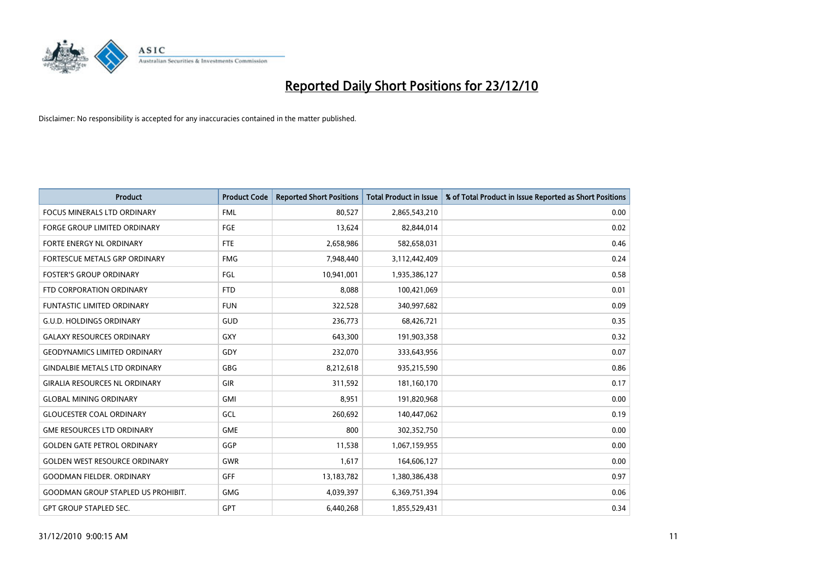

| Product                                   | <b>Product Code</b> | <b>Reported Short Positions</b> | <b>Total Product in Issue</b> | % of Total Product in Issue Reported as Short Positions |
|-------------------------------------------|---------------------|---------------------------------|-------------------------------|---------------------------------------------------------|
| <b>FOCUS MINERALS LTD ORDINARY</b>        | <b>FML</b>          | 80,527                          | 2,865,543,210                 | 0.00                                                    |
| FORGE GROUP LIMITED ORDINARY              | FGE                 | 13,624                          | 82,844,014                    | 0.02                                                    |
| FORTE ENERGY NL ORDINARY                  | FTE                 | 2,658,986                       | 582,658,031                   | 0.46                                                    |
| FORTESCUE METALS GRP ORDINARY             | <b>FMG</b>          | 7,948,440                       | 3,112,442,409                 | 0.24                                                    |
| <b>FOSTER'S GROUP ORDINARY</b>            | FGL                 | 10,941,001                      | 1,935,386,127                 | 0.58                                                    |
| FTD CORPORATION ORDINARY                  | <b>FTD</b>          | 8,088                           | 100,421,069                   | 0.01                                                    |
| <b>FUNTASTIC LIMITED ORDINARY</b>         | <b>FUN</b>          | 322,528                         | 340,997,682                   | 0.09                                                    |
| <b>G.U.D. HOLDINGS ORDINARY</b>           | GUD                 | 236,773                         | 68,426,721                    | 0.35                                                    |
| <b>GALAXY RESOURCES ORDINARY</b>          | <b>GXY</b>          | 643,300                         | 191,903,358                   | 0.32                                                    |
| <b>GEODYNAMICS LIMITED ORDINARY</b>       | GDY                 | 232,070                         | 333,643,956                   | 0.07                                                    |
| <b>GINDALBIE METALS LTD ORDINARY</b>      | <b>GBG</b>          | 8,212,618                       | 935,215,590                   | 0.86                                                    |
| <b>GIRALIA RESOURCES NL ORDINARY</b>      | <b>GIR</b>          | 311,592                         | 181,160,170                   | 0.17                                                    |
| <b>GLOBAL MINING ORDINARY</b>             | GMI                 | 8,951                           | 191,820,968                   | 0.00                                                    |
| <b>GLOUCESTER COAL ORDINARY</b>           | GCL                 | 260,692                         | 140,447,062                   | 0.19                                                    |
| <b>GME RESOURCES LTD ORDINARY</b>         | <b>GME</b>          | 800                             | 302,352,750                   | 0.00                                                    |
| <b>GOLDEN GATE PETROL ORDINARY</b>        | GGP                 | 11,538                          | 1,067,159,955                 | 0.00                                                    |
| <b>GOLDEN WEST RESOURCE ORDINARY</b>      | GWR                 | 1,617                           | 164,606,127                   | 0.00                                                    |
| <b>GOODMAN FIELDER, ORDINARY</b>          | <b>GFF</b>          | 13,183,782                      | 1,380,386,438                 | 0.97                                                    |
| <b>GOODMAN GROUP STAPLED US PROHIBIT.</b> | <b>GMG</b>          | 4,039,397                       | 6,369,751,394                 | 0.06                                                    |
| <b>GPT GROUP STAPLED SEC.</b>             | <b>GPT</b>          | 6,440,268                       | 1,855,529,431                 | 0.34                                                    |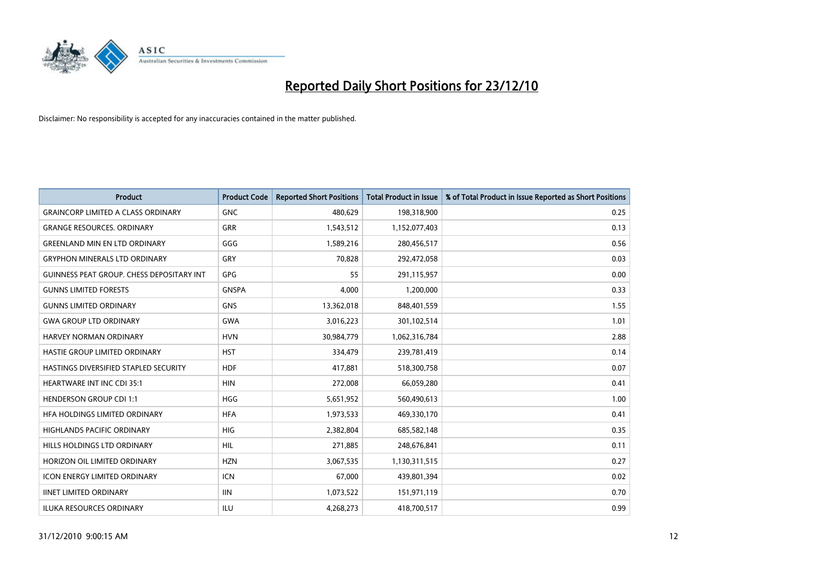

| <b>Product</b>                                   | <b>Product Code</b> | <b>Reported Short Positions</b> | Total Product in Issue | % of Total Product in Issue Reported as Short Positions |
|--------------------------------------------------|---------------------|---------------------------------|------------------------|---------------------------------------------------------|
| <b>GRAINCORP LIMITED A CLASS ORDINARY</b>        | <b>GNC</b>          | 480,629                         | 198,318,900            | 0.25                                                    |
| <b>GRANGE RESOURCES, ORDINARY</b>                | <b>GRR</b>          | 1,543,512                       | 1,152,077,403          | 0.13                                                    |
| <b>GREENLAND MIN EN LTD ORDINARY</b>             | GGG                 | 1,589,216                       | 280,456,517            | 0.56                                                    |
| <b>GRYPHON MINERALS LTD ORDINARY</b>             | GRY                 | 70,828                          | 292,472,058            | 0.03                                                    |
| <b>GUINNESS PEAT GROUP. CHESS DEPOSITARY INT</b> | <b>GPG</b>          | 55                              | 291,115,957            | 0.00                                                    |
| <b>GUNNS LIMITED FORESTS</b>                     | <b>GNSPA</b>        | 4,000                           | 1,200,000              | 0.33                                                    |
| <b>GUNNS LIMITED ORDINARY</b>                    | <b>GNS</b>          | 13,362,018                      | 848,401,559            | 1.55                                                    |
| <b>GWA GROUP LTD ORDINARY</b>                    | <b>GWA</b>          | 3,016,223                       | 301,102,514            | 1.01                                                    |
| <b>HARVEY NORMAN ORDINARY</b>                    | <b>HVN</b>          | 30,984,779                      | 1,062,316,784          | 2.88                                                    |
| HASTIE GROUP LIMITED ORDINARY                    | <b>HST</b>          | 334,479                         | 239,781,419            | 0.14                                                    |
| HASTINGS DIVERSIFIED STAPLED SECURITY            | <b>HDF</b>          | 417,881                         | 518,300,758            | 0.07                                                    |
| <b>HEARTWARE INT INC CDI 35:1</b>                | <b>HIN</b>          | 272,008                         | 66,059,280             | 0.41                                                    |
| <b>HENDERSON GROUP CDI 1:1</b>                   | <b>HGG</b>          | 5,651,952                       | 560,490,613            | 1.00                                                    |
| HFA HOLDINGS LIMITED ORDINARY                    | <b>HFA</b>          | 1,973,533                       | 469,330,170            | 0.41                                                    |
| <b>HIGHLANDS PACIFIC ORDINARY</b>                | <b>HIG</b>          | 2,382,804                       | 685,582,148            | 0.35                                                    |
| <b>HILLS HOLDINGS LTD ORDINARY</b>               | <b>HIL</b>          | 271,885                         | 248,676,841            | 0.11                                                    |
| HORIZON OIL LIMITED ORDINARY                     | <b>HZN</b>          | 3,067,535                       | 1,130,311,515          | 0.27                                                    |
| ICON ENERGY LIMITED ORDINARY                     | <b>ICN</b>          | 67,000                          | 439,801,394            | 0.02                                                    |
| <b>IINET LIMITED ORDINARY</b>                    | <b>IIN</b>          | 1,073,522                       | 151,971,119            | 0.70                                                    |
| <b>ILUKA RESOURCES ORDINARY</b>                  | ILU                 | 4,268,273                       | 418,700,517            | 0.99                                                    |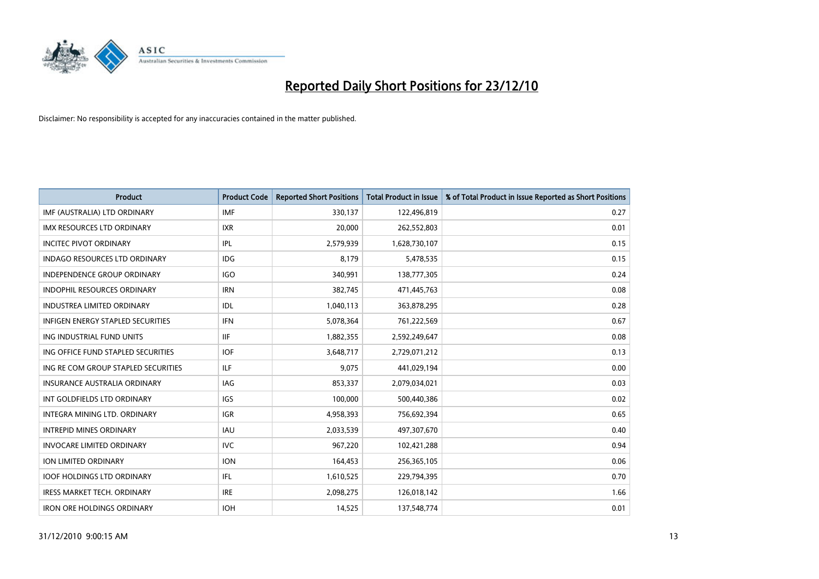

| Product                                  | <b>Product Code</b> | <b>Reported Short Positions</b> | <b>Total Product in Issue</b> | % of Total Product in Issue Reported as Short Positions |
|------------------------------------------|---------------------|---------------------------------|-------------------------------|---------------------------------------------------------|
| IMF (AUSTRALIA) LTD ORDINARY             | <b>IMF</b>          | 330,137                         | 122,496,819                   | 0.27                                                    |
| IMX RESOURCES LTD ORDINARY               | <b>IXR</b>          | 20,000                          | 262,552,803                   | 0.01                                                    |
| <b>INCITEC PIVOT ORDINARY</b>            | IPL                 | 2,579,939                       | 1,628,730,107                 | 0.15                                                    |
| INDAGO RESOURCES LTD ORDINARY            | <b>IDG</b>          | 8,179                           | 5,478,535                     | 0.15                                                    |
| <b>INDEPENDENCE GROUP ORDINARY</b>       | <b>IGO</b>          | 340,991                         | 138,777,305                   | 0.24                                                    |
| <b>INDOPHIL RESOURCES ORDINARY</b>       | <b>IRN</b>          | 382,745                         | 471,445,763                   | 0.08                                                    |
| <b>INDUSTREA LIMITED ORDINARY</b>        | IDL                 | 1,040,113                       | 363,878,295                   | 0.28                                                    |
| <b>INFIGEN ENERGY STAPLED SECURITIES</b> | <b>IFN</b>          | 5,078,364                       | 761,222,569                   | 0.67                                                    |
| ING INDUSTRIAL FUND UNITS                | <b>IIF</b>          | 1,882,355                       | 2,592,249,647                 | 0.08                                                    |
| ING OFFICE FUND STAPLED SECURITIES       | <b>IOF</b>          | 3,648,717                       | 2,729,071,212                 | 0.13                                                    |
| ING RE COM GROUP STAPLED SECURITIES      | ILF.                | 9,075                           | 441,029,194                   | 0.00                                                    |
| <b>INSURANCE AUSTRALIA ORDINARY</b>      | IAG                 | 853,337                         | 2,079,034,021                 | 0.03                                                    |
| INT GOLDFIELDS LTD ORDINARY              | <b>IGS</b>          | 100,000                         | 500,440,386                   | 0.02                                                    |
| INTEGRA MINING LTD, ORDINARY             | <b>IGR</b>          | 4,958,393                       | 756,692,394                   | 0.65                                                    |
| <b>INTREPID MINES ORDINARY</b>           | IAU                 | 2,033,539                       | 497,307,670                   | 0.40                                                    |
| <b>INVOCARE LIMITED ORDINARY</b>         | <b>IVC</b>          | 967,220                         | 102,421,288                   | 0.94                                                    |
| <b>ION LIMITED ORDINARY</b>              | <b>ION</b>          | 164,453                         | 256,365,105                   | 0.06                                                    |
| <b>IOOF HOLDINGS LTD ORDINARY</b>        | IFL                 | 1,610,525                       | 229,794,395                   | 0.70                                                    |
| <b>IRESS MARKET TECH. ORDINARY</b>       | <b>IRE</b>          | 2,098,275                       | 126,018,142                   | 1.66                                                    |
| <b>IRON ORE HOLDINGS ORDINARY</b>        | <b>IOH</b>          | 14,525                          | 137,548,774                   | 0.01                                                    |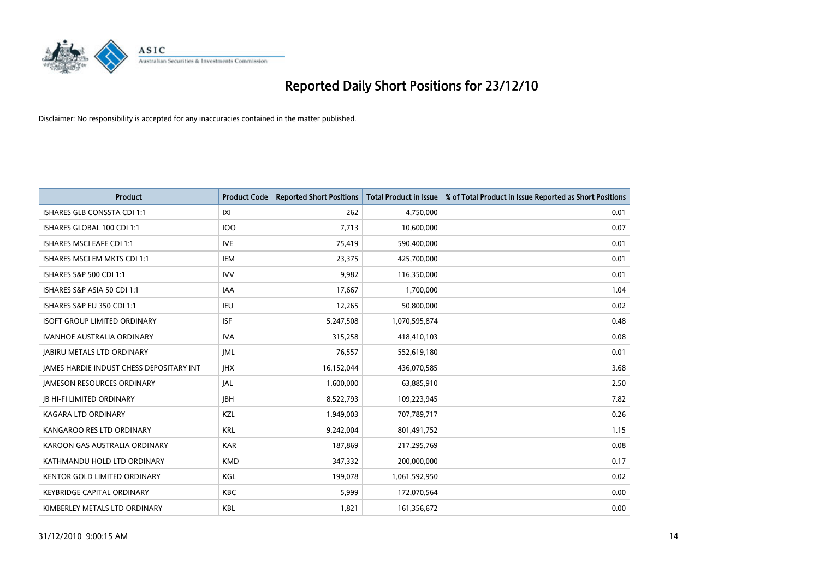

| Product                                  | <b>Product Code</b> | <b>Reported Short Positions</b> | <b>Total Product in Issue</b> | % of Total Product in Issue Reported as Short Positions |
|------------------------------------------|---------------------|---------------------------------|-------------------------------|---------------------------------------------------------|
| <b>ISHARES GLB CONSSTA CDI 1:1</b>       | IXI                 | 262                             | 4,750,000                     | 0.01                                                    |
| ISHARES GLOBAL 100 CDI 1:1               | 100                 | 7,713                           | 10,600,000                    | 0.07                                                    |
| <b>ISHARES MSCI EAFE CDI 1:1</b>         | <b>IVE</b>          | 75,419                          | 590,400,000                   | 0.01                                                    |
| ISHARES MSCI EM MKTS CDI 1:1             | IEM                 | 23,375                          | 425,700,000                   | 0.01                                                    |
| ISHARES S&P 500 CDI 1:1                  | <b>IVV</b>          | 9,982                           | 116,350,000                   | 0.01                                                    |
| ISHARES S&P ASIA 50 CDI 1:1              | <b>IAA</b>          | 17,667                          | 1,700,000                     | 1.04                                                    |
| ISHARES S&P EU 350 CDI 1:1               | IEU                 | 12,265                          | 50,800,000                    | 0.02                                                    |
| <b>ISOFT GROUP LIMITED ORDINARY</b>      | <b>ISF</b>          | 5,247,508                       | 1,070,595,874                 | 0.48                                                    |
| <b>IVANHOE AUSTRALIA ORDINARY</b>        | <b>IVA</b>          | 315,258                         | 418,410,103                   | 0.08                                                    |
| <b>JABIRU METALS LTD ORDINARY</b>        | <b>JML</b>          | 76,557                          | 552,619,180                   | 0.01                                                    |
| JAMES HARDIE INDUST CHESS DEPOSITARY INT | <b>IHX</b>          | 16,152,044                      | 436,070,585                   | 3.68                                                    |
| <b>JAMESON RESOURCES ORDINARY</b>        | JAL                 | 1,600,000                       | 63,885,910                    | 2.50                                                    |
| <b>JB HI-FI LIMITED ORDINARY</b>         | <b>IBH</b>          | 8,522,793                       | 109,223,945                   | 7.82                                                    |
| <b>KAGARA LTD ORDINARY</b>               | KZL                 | 1,949,003                       | 707,789,717                   | 0.26                                                    |
| KANGAROO RES LTD ORDINARY                | <b>KRL</b>          | 9,242,004                       | 801,491,752                   | 1.15                                                    |
| KAROON GAS AUSTRALIA ORDINARY            | <b>KAR</b>          | 187,869                         | 217,295,769                   | 0.08                                                    |
| KATHMANDU HOLD LTD ORDINARY              | <b>KMD</b>          | 347,332                         | 200,000,000                   | 0.17                                                    |
| KENTOR GOLD LIMITED ORDINARY             | KGL                 | 199,078                         | 1,061,592,950                 | 0.02                                                    |
| <b>KEYBRIDGE CAPITAL ORDINARY</b>        | <b>KBC</b>          | 5,999                           | 172,070,564                   | 0.00                                                    |
| KIMBERLEY METALS LTD ORDINARY            | <b>KBL</b>          | 1,821                           | 161,356,672                   | 0.00                                                    |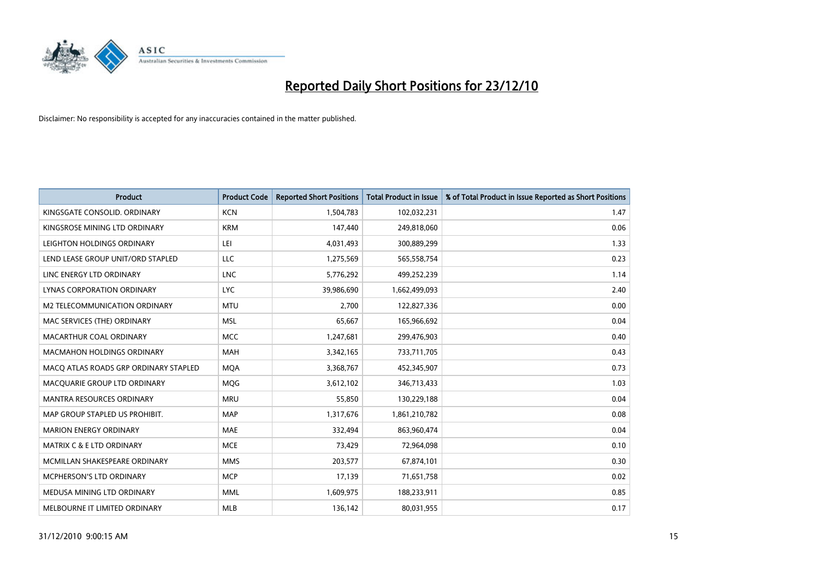

| Product                               | <b>Product Code</b> | <b>Reported Short Positions</b> | <b>Total Product in Issue</b> | % of Total Product in Issue Reported as Short Positions |
|---------------------------------------|---------------------|---------------------------------|-------------------------------|---------------------------------------------------------|
| KINGSGATE CONSOLID. ORDINARY          | <b>KCN</b>          | 1,504,783                       | 102,032,231                   | 1.47                                                    |
| KINGSROSE MINING LTD ORDINARY         | <b>KRM</b>          | 147,440                         | 249,818,060                   | 0.06                                                    |
| LEIGHTON HOLDINGS ORDINARY            | LEI                 | 4,031,493                       | 300,889,299                   | 1.33                                                    |
| LEND LEASE GROUP UNIT/ORD STAPLED     | <b>LLC</b>          | 1,275,569                       | 565,558,754                   | 0.23                                                    |
| LINC ENERGY LTD ORDINARY              | <b>LNC</b>          | 5,776,292                       | 499,252,239                   | 1.14                                                    |
| LYNAS CORPORATION ORDINARY            | <b>LYC</b>          | 39,986,690                      | 1,662,499,093                 | 2.40                                                    |
| M2 TELECOMMUNICATION ORDINARY         | <b>MTU</b>          | 2,700                           | 122,827,336                   | 0.00                                                    |
| MAC SERVICES (THE) ORDINARY           | <b>MSL</b>          | 65,667                          | 165,966,692                   | 0.04                                                    |
| MACARTHUR COAL ORDINARY               | <b>MCC</b>          | 1,247,681                       | 299,476,903                   | 0.40                                                    |
| <b>MACMAHON HOLDINGS ORDINARY</b>     | <b>MAH</b>          | 3,342,165                       | 733,711,705                   | 0.43                                                    |
| MACQ ATLAS ROADS GRP ORDINARY STAPLED | <b>MQA</b>          | 3,368,767                       | 452,345,907                   | 0.73                                                    |
| MACOUARIE GROUP LTD ORDINARY          | <b>MQG</b>          | 3,612,102                       | 346,713,433                   | 1.03                                                    |
| <b>MANTRA RESOURCES ORDINARY</b>      | <b>MRU</b>          | 55,850                          | 130,229,188                   | 0.04                                                    |
| MAP GROUP STAPLED US PROHIBIT.        | <b>MAP</b>          | 1,317,676                       | 1,861,210,782                 | 0.08                                                    |
| <b>MARION ENERGY ORDINARY</b>         | MAE                 | 332,494                         | 863,960,474                   | 0.04                                                    |
| MATRIX C & E LTD ORDINARY             | <b>MCE</b>          | 73,429                          | 72,964,098                    | 0.10                                                    |
| MCMILLAN SHAKESPEARE ORDINARY         | <b>MMS</b>          | 203,577                         | 67,874,101                    | 0.30                                                    |
| MCPHERSON'S LTD ORDINARY              | <b>MCP</b>          | 17,139                          | 71,651,758                    | 0.02                                                    |
| MEDUSA MINING LTD ORDINARY            | <b>MML</b>          | 1,609,975                       | 188,233,911                   | 0.85                                                    |
| MELBOURNE IT LIMITED ORDINARY         | <b>MLB</b>          | 136,142                         | 80,031,955                    | 0.17                                                    |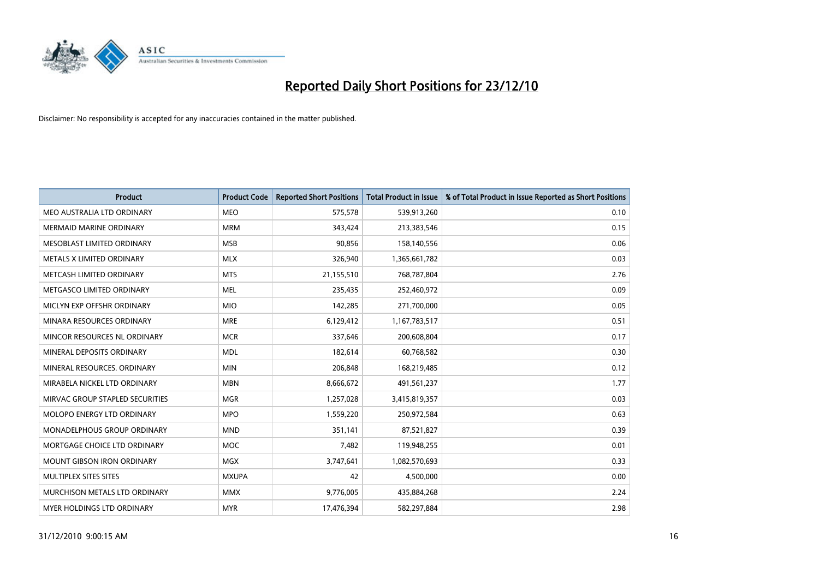

| Product                         | <b>Product Code</b> | <b>Reported Short Positions</b> | <b>Total Product in Issue</b> | % of Total Product in Issue Reported as Short Positions |
|---------------------------------|---------------------|---------------------------------|-------------------------------|---------------------------------------------------------|
| MEO AUSTRALIA LTD ORDINARY      | <b>MEO</b>          | 575,578                         | 539,913,260                   | 0.10                                                    |
| MERMAID MARINE ORDINARY         | <b>MRM</b>          | 343,424                         | 213,383,546                   | 0.15                                                    |
| MESOBLAST LIMITED ORDINARY      | <b>MSB</b>          | 90,856                          | 158,140,556                   | 0.06                                                    |
| METALS X LIMITED ORDINARY       | <b>MLX</b>          | 326,940                         | 1,365,661,782                 | 0.03                                                    |
| METCASH LIMITED ORDINARY        | <b>MTS</b>          | 21,155,510                      | 768,787,804                   | 2.76                                                    |
| METGASCO LIMITED ORDINARY       | <b>MEL</b>          | 235,435                         | 252,460,972                   | 0.09                                                    |
| MICLYN EXP OFFSHR ORDINARY      | <b>MIO</b>          | 142,285                         | 271,700,000                   | 0.05                                                    |
| MINARA RESOURCES ORDINARY       | <b>MRE</b>          | 6,129,412                       | 1,167,783,517                 | 0.51                                                    |
| MINCOR RESOURCES NL ORDINARY    | <b>MCR</b>          | 337,646                         | 200,608,804                   | 0.17                                                    |
| MINERAL DEPOSITS ORDINARY       | <b>MDL</b>          | 182,614                         | 60,768,582                    | 0.30                                                    |
| MINERAL RESOURCES. ORDINARY     | <b>MIN</b>          | 206,848                         | 168,219,485                   | 0.12                                                    |
| MIRABELA NICKEL LTD ORDINARY    | <b>MBN</b>          | 8,666,672                       | 491,561,237                   | 1.77                                                    |
| MIRVAC GROUP STAPLED SECURITIES | <b>MGR</b>          | 1,257,028                       | 3,415,819,357                 | 0.03                                                    |
| MOLOPO ENERGY LTD ORDINARY      | <b>MPO</b>          | 1,559,220                       | 250,972,584                   | 0.63                                                    |
| MONADELPHOUS GROUP ORDINARY     | <b>MND</b>          | 351,141                         | 87,521,827                    | 0.39                                                    |
| MORTGAGE CHOICE LTD ORDINARY    | <b>MOC</b>          | 7,482                           | 119,948,255                   | 0.01                                                    |
| MOUNT GIBSON IRON ORDINARY      | MGX                 | 3,747,641                       | 1,082,570,693                 | 0.33                                                    |
| MULTIPLEX SITES SITES           | <b>MXUPA</b>        | 42                              | 4,500,000                     | 0.00                                                    |
| MURCHISON METALS LTD ORDINARY   | <b>MMX</b>          | 9,776,005                       | 435,884,268                   | 2.24                                                    |
| MYER HOLDINGS LTD ORDINARY      | <b>MYR</b>          | 17,476,394                      | 582,297,884                   | 2.98                                                    |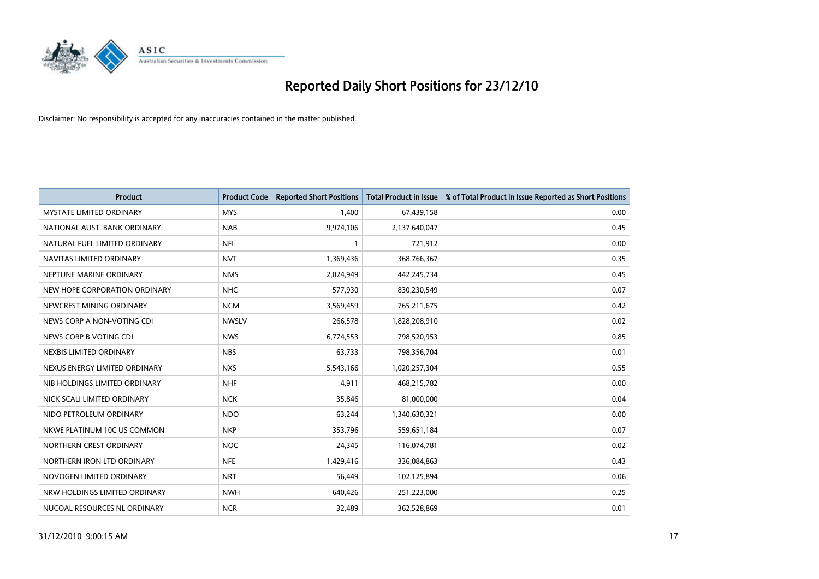

| Product                         | <b>Product Code</b> | <b>Reported Short Positions</b> | <b>Total Product in Issue</b> | % of Total Product in Issue Reported as Short Positions |
|---------------------------------|---------------------|---------------------------------|-------------------------------|---------------------------------------------------------|
| <b>MYSTATE LIMITED ORDINARY</b> | <b>MYS</b>          | 1,400                           | 67,439,158                    | 0.00                                                    |
| NATIONAL AUST. BANK ORDINARY    | <b>NAB</b>          | 9,974,106                       | 2,137,640,047                 | 0.45                                                    |
| NATURAL FUEL LIMITED ORDINARY   | <b>NFL</b>          | $\mathbf{1}$                    | 721,912                       | 0.00                                                    |
| NAVITAS LIMITED ORDINARY        | <b>NVT</b>          | 1,369,436                       | 368,766,367                   | 0.35                                                    |
| NEPTUNE MARINE ORDINARY         | <b>NMS</b>          | 2,024,949                       | 442,245,734                   | 0.45                                                    |
| NEW HOPE CORPORATION ORDINARY   | <b>NHC</b>          | 577,930                         | 830,230,549                   | 0.07                                                    |
| NEWCREST MINING ORDINARY        | <b>NCM</b>          | 3,569,459                       | 765,211,675                   | 0.42                                                    |
| NEWS CORP A NON-VOTING CDI      | <b>NWSLV</b>        | 266,578                         | 1,828,208,910                 | 0.02                                                    |
| NEWS CORP B VOTING CDI          | <b>NWS</b>          | 6,774,553                       | 798,520,953                   | 0.85                                                    |
| NEXBIS LIMITED ORDINARY         | <b>NBS</b>          | 63,733                          | 798,356,704                   | 0.01                                                    |
| NEXUS ENERGY LIMITED ORDINARY   | <b>NXS</b>          | 5,543,166                       | 1,020,257,304                 | 0.55                                                    |
| NIB HOLDINGS LIMITED ORDINARY   | <b>NHF</b>          | 4,911                           | 468,215,782                   | 0.00                                                    |
| NICK SCALI LIMITED ORDINARY     | <b>NCK</b>          | 35,846                          | 81,000,000                    | 0.04                                                    |
| NIDO PETROLEUM ORDINARY         | <b>NDO</b>          | 63,244                          | 1,340,630,321                 | 0.00                                                    |
| NKWE PLATINUM 10C US COMMON     | <b>NKP</b>          | 353,796                         | 559,651,184                   | 0.07                                                    |
| NORTHERN CREST ORDINARY         | <b>NOC</b>          | 24,345                          | 116,074,781                   | 0.02                                                    |
| NORTHERN IRON LTD ORDINARY      | <b>NFE</b>          | 1,429,416                       | 336,084,863                   | 0.43                                                    |
| NOVOGEN LIMITED ORDINARY        | <b>NRT</b>          | 56,449                          | 102,125,894                   | 0.06                                                    |
| NRW HOLDINGS LIMITED ORDINARY   | <b>NWH</b>          | 640,426                         | 251,223,000                   | 0.25                                                    |
| NUCOAL RESOURCES NL ORDINARY    | <b>NCR</b>          | 32,489                          | 362,528,869                   | 0.01                                                    |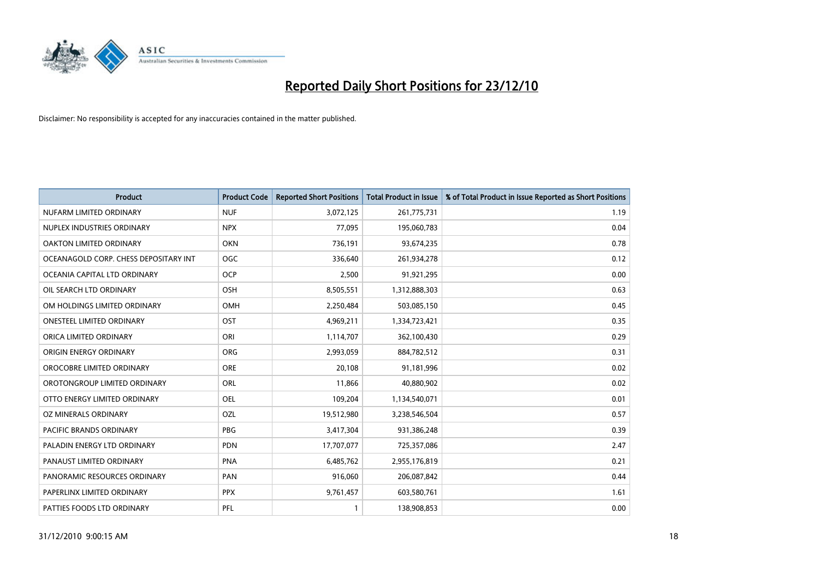

| Product                               | <b>Product Code</b> | <b>Reported Short Positions</b> | <b>Total Product in Issue</b> | % of Total Product in Issue Reported as Short Positions |
|---------------------------------------|---------------------|---------------------------------|-------------------------------|---------------------------------------------------------|
| NUFARM LIMITED ORDINARY               | <b>NUF</b>          | 3,072,125                       | 261,775,731                   | 1.19                                                    |
| NUPLEX INDUSTRIES ORDINARY            | <b>NPX</b>          | 77,095                          | 195,060,783                   | 0.04                                                    |
| OAKTON LIMITED ORDINARY               | <b>OKN</b>          | 736,191                         | 93,674,235                    | 0.78                                                    |
| OCEANAGOLD CORP. CHESS DEPOSITARY INT | OGC                 | 336,640                         | 261,934,278                   | 0.12                                                    |
| OCEANIA CAPITAL LTD ORDINARY          | <b>OCP</b>          | 2,500                           | 91,921,295                    | 0.00                                                    |
| OIL SEARCH LTD ORDINARY               | OSH                 | 8,505,551                       | 1,312,888,303                 | 0.63                                                    |
| OM HOLDINGS LIMITED ORDINARY          | OMH                 | 2,250,484                       | 503,085,150                   | 0.45                                                    |
| <b>ONESTEEL LIMITED ORDINARY</b>      | OST                 | 4,969,211                       | 1,334,723,421                 | 0.35                                                    |
| ORICA LIMITED ORDINARY                | ORI                 | 1,114,707                       | 362,100,430                   | 0.29                                                    |
| ORIGIN ENERGY ORDINARY                | ORG                 | 2,993,059                       | 884,782,512                   | 0.31                                                    |
| OROCOBRE LIMITED ORDINARY             | <b>ORE</b>          | 20,108                          | 91,181,996                    | 0.02                                                    |
| OROTONGROUP LIMITED ORDINARY          | <b>ORL</b>          | 11,866                          | 40,880,902                    | 0.02                                                    |
| OTTO ENERGY LIMITED ORDINARY          | <b>OEL</b>          | 109,204                         | 1,134,540,071                 | 0.01                                                    |
| OZ MINERALS ORDINARY                  | OZL                 | 19,512,980                      | 3,238,546,504                 | 0.57                                                    |
| <b>PACIFIC BRANDS ORDINARY</b>        | <b>PBG</b>          | 3,417,304                       | 931,386,248                   | 0.39                                                    |
| PALADIN ENERGY LTD ORDINARY           | <b>PDN</b>          | 17,707,077                      | 725,357,086                   | 2.47                                                    |
| PANAUST LIMITED ORDINARY              | <b>PNA</b>          | 6,485,762                       | 2,955,176,819                 | 0.21                                                    |
| PANORAMIC RESOURCES ORDINARY          | PAN                 | 916,060                         | 206,087,842                   | 0.44                                                    |
| PAPERLINX LIMITED ORDINARY            | <b>PPX</b>          | 9,761,457                       | 603,580,761                   | 1.61                                                    |
| PATTIES FOODS LTD ORDINARY            | PFL                 | 1                               | 138,908,853                   | 0.00                                                    |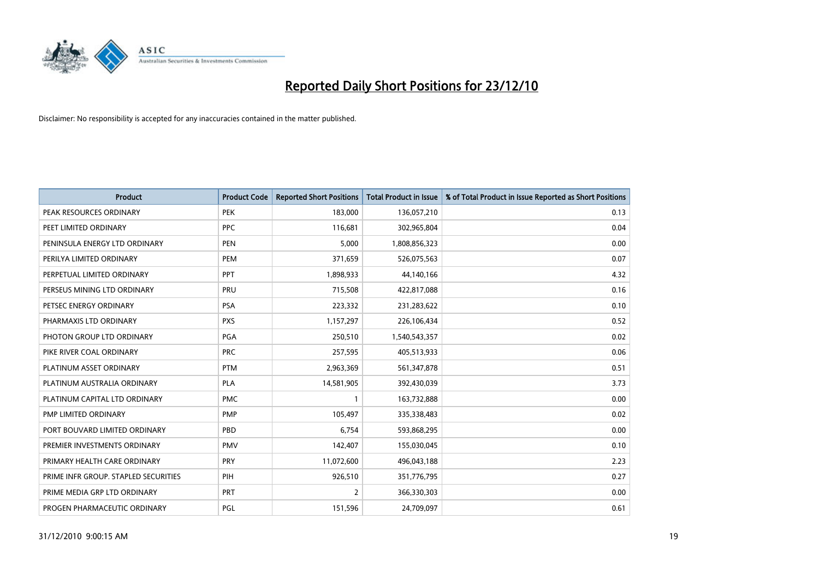

| Product                              | <b>Product Code</b> | <b>Reported Short Positions</b> | <b>Total Product in Issue</b> | % of Total Product in Issue Reported as Short Positions |
|--------------------------------------|---------------------|---------------------------------|-------------------------------|---------------------------------------------------------|
| PEAK RESOURCES ORDINARY              | <b>PEK</b>          | 183,000                         | 136,057,210                   | 0.13                                                    |
| PEET LIMITED ORDINARY                | <b>PPC</b>          | 116,681                         | 302,965,804                   | 0.04                                                    |
| PENINSULA ENERGY LTD ORDINARY        | <b>PEN</b>          | 5,000                           | 1,808,856,323                 | 0.00                                                    |
| PERILYA LIMITED ORDINARY             | PEM                 | 371,659                         | 526,075,563                   | 0.07                                                    |
| PERPETUAL LIMITED ORDINARY           | PPT                 | 1,898,933                       | 44,140,166                    | 4.32                                                    |
| PERSEUS MINING LTD ORDINARY          | PRU                 | 715,508                         | 422,817,088                   | 0.16                                                    |
| PETSEC ENERGY ORDINARY               | <b>PSA</b>          | 223,332                         | 231,283,622                   | 0.10                                                    |
| PHARMAXIS LTD ORDINARY               | <b>PXS</b>          | 1,157,297                       | 226,106,434                   | 0.52                                                    |
| PHOTON GROUP LTD ORDINARY            | PGA                 | 250,510                         | 1,540,543,357                 | 0.02                                                    |
| PIKE RIVER COAL ORDINARY             | <b>PRC</b>          | 257,595                         | 405,513,933                   | 0.06                                                    |
| PLATINUM ASSET ORDINARY              | <b>PTM</b>          | 2,963,369                       | 561,347,878                   | 0.51                                                    |
| PLATINUM AUSTRALIA ORDINARY          | <b>PLA</b>          | 14,581,905                      | 392,430,039                   | 3.73                                                    |
| PLATINUM CAPITAL LTD ORDINARY        | <b>PMC</b>          | 1                               | 163,732,888                   | 0.00                                                    |
| <b>PMP LIMITED ORDINARY</b>          | <b>PMP</b>          | 105,497                         | 335,338,483                   | 0.02                                                    |
| PORT BOUVARD LIMITED ORDINARY        | PBD                 | 6,754                           | 593,868,295                   | 0.00                                                    |
| PREMIER INVESTMENTS ORDINARY         | <b>PMV</b>          | 142,407                         | 155,030,045                   | 0.10                                                    |
| PRIMARY HEALTH CARE ORDINARY         | PRY                 | 11,072,600                      | 496,043,188                   | 2.23                                                    |
| PRIME INFR GROUP. STAPLED SECURITIES | PIH                 | 926,510                         | 351,776,795                   | 0.27                                                    |
| PRIME MEDIA GRP LTD ORDINARY         | <b>PRT</b>          | $\overline{2}$                  | 366,330,303                   | 0.00                                                    |
| PROGEN PHARMACEUTIC ORDINARY         | <b>PGL</b>          | 151,596                         | 24,709,097                    | 0.61                                                    |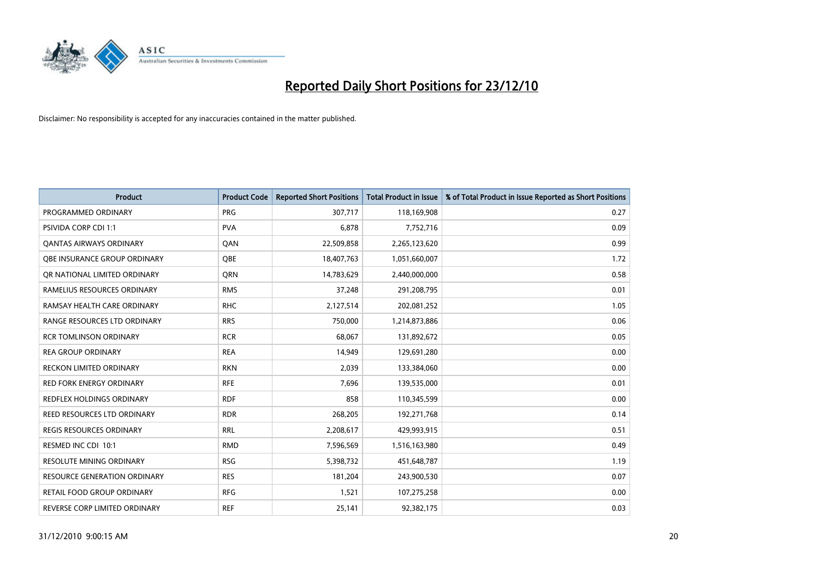

| Product                         | <b>Product Code</b> | <b>Reported Short Positions</b> | <b>Total Product in Issue</b> | % of Total Product in Issue Reported as Short Positions |
|---------------------------------|---------------------|---------------------------------|-------------------------------|---------------------------------------------------------|
| PROGRAMMED ORDINARY             | <b>PRG</b>          | 307,717                         | 118,169,908                   | 0.27                                                    |
| PSIVIDA CORP CDI 1:1            | <b>PVA</b>          | 6,878                           | 7,752,716                     | 0.09                                                    |
| OANTAS AIRWAYS ORDINARY         | QAN                 | 22,509,858                      | 2,265,123,620                 | 0.99                                                    |
| OBE INSURANCE GROUP ORDINARY    | <b>OBE</b>          | 18,407,763                      | 1,051,660,007                 | 1.72                                                    |
| OR NATIONAL LIMITED ORDINARY    | <b>ORN</b>          | 14,783,629                      | 2,440,000,000                 | 0.58                                                    |
| RAMELIUS RESOURCES ORDINARY     | <b>RMS</b>          | 37,248                          | 291,208,795                   | 0.01                                                    |
| RAMSAY HEALTH CARE ORDINARY     | <b>RHC</b>          | 2,127,514                       | 202,081,252                   | 1.05                                                    |
| RANGE RESOURCES LTD ORDINARY    | <b>RRS</b>          | 750,000                         | 1,214,873,886                 | 0.06                                                    |
| <b>RCR TOMLINSON ORDINARY</b>   | <b>RCR</b>          | 68,067                          | 131,892,672                   | 0.05                                                    |
| <b>REA GROUP ORDINARY</b>       | <b>REA</b>          | 14,949                          | 129,691,280                   | 0.00                                                    |
| RECKON LIMITED ORDINARY         | <b>RKN</b>          | 2,039                           | 133,384,060                   | 0.00                                                    |
| <b>RED FORK ENERGY ORDINARY</b> | <b>RFE</b>          | 7,696                           | 139,535,000                   | 0.01                                                    |
| REDFLEX HOLDINGS ORDINARY       | <b>RDF</b>          | 858                             | 110,345,599                   | 0.00                                                    |
| REED RESOURCES LTD ORDINARY     | <b>RDR</b>          | 268,205                         | 192,271,768                   | 0.14                                                    |
| <b>REGIS RESOURCES ORDINARY</b> | <b>RRL</b>          | 2,208,617                       | 429,993,915                   | 0.51                                                    |
| RESMED INC CDI 10:1             | <b>RMD</b>          | 7,596,569                       | 1,516,163,980                 | 0.49                                                    |
| RESOLUTE MINING ORDINARY        | <b>RSG</b>          | 5,398,732                       | 451,648,787                   | 1.19                                                    |
| RESOURCE GENERATION ORDINARY    | <b>RES</b>          | 181,204                         | 243,900,530                   | 0.07                                                    |
| RETAIL FOOD GROUP ORDINARY      | <b>RFG</b>          | 1,521                           | 107,275,258                   | 0.00                                                    |
| REVERSE CORP LIMITED ORDINARY   | <b>REF</b>          | 25,141                          | 92,382,175                    | 0.03                                                    |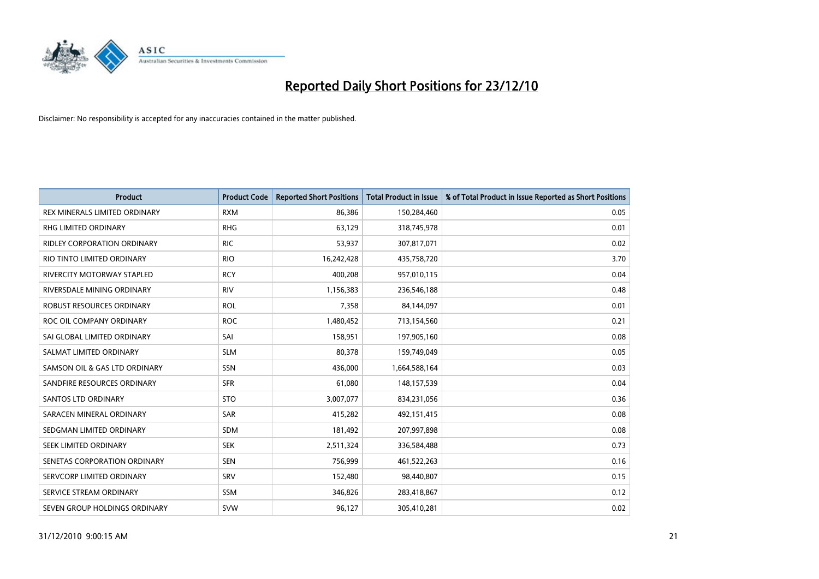

| Product                              | <b>Product Code</b> | <b>Reported Short Positions</b> | <b>Total Product in Issue</b> | % of Total Product in Issue Reported as Short Positions |
|--------------------------------------|---------------------|---------------------------------|-------------------------------|---------------------------------------------------------|
| <b>REX MINERALS LIMITED ORDINARY</b> | <b>RXM</b>          | 86,386                          | 150,284,460                   | 0.05                                                    |
| RHG LIMITED ORDINARY                 | <b>RHG</b>          | 63,129                          | 318,745,978                   | 0.01                                                    |
| <b>RIDLEY CORPORATION ORDINARY</b>   | <b>RIC</b>          | 53,937                          | 307,817,071                   | 0.02                                                    |
| RIO TINTO LIMITED ORDINARY           | <b>RIO</b>          | 16,242,428                      | 435,758,720                   | 3.70                                                    |
| <b>RIVERCITY MOTORWAY STAPLED</b>    | <b>RCY</b>          | 400,208                         | 957,010,115                   | 0.04                                                    |
| RIVERSDALE MINING ORDINARY           | <b>RIV</b>          | 1,156,383                       | 236,546,188                   | 0.48                                                    |
| ROBUST RESOURCES ORDINARY            | <b>ROL</b>          | 7,358                           | 84,144,097                    | 0.01                                                    |
| ROC OIL COMPANY ORDINARY             | <b>ROC</b>          | 1,480,452                       | 713,154,560                   | 0.21                                                    |
| SAI GLOBAL LIMITED ORDINARY          | SAI                 | 158,951                         | 197,905,160                   | 0.08                                                    |
| SALMAT LIMITED ORDINARY              | <b>SLM</b>          | 80,378                          | 159,749,049                   | 0.05                                                    |
| SAMSON OIL & GAS LTD ORDINARY        | SSN                 | 436,000                         | 1,664,588,164                 | 0.03                                                    |
| SANDFIRE RESOURCES ORDINARY          | <b>SFR</b>          | 61,080                          | 148,157,539                   | 0.04                                                    |
| <b>SANTOS LTD ORDINARY</b>           | <b>STO</b>          | 3,007,077                       | 834,231,056                   | 0.36                                                    |
| SARACEN MINERAL ORDINARY             | SAR                 | 415,282                         | 492,151,415                   | 0.08                                                    |
| SEDGMAN LIMITED ORDINARY             | <b>SDM</b>          | 181,492                         | 207,997,898                   | 0.08                                                    |
| SEEK LIMITED ORDINARY                | <b>SEK</b>          | 2,511,324                       | 336,584,488                   | 0.73                                                    |
| SENETAS CORPORATION ORDINARY         | <b>SEN</b>          | 756,999                         | 461,522,263                   | 0.16                                                    |
| SERVCORP LIMITED ORDINARY            | SRV                 | 152,480                         | 98,440,807                    | 0.15                                                    |
| SERVICE STREAM ORDINARY              | <b>SSM</b>          | 346,826                         | 283,418,867                   | 0.12                                                    |
| SEVEN GROUP HOLDINGS ORDINARY        | <b>SVW</b>          | 96,127                          | 305,410,281                   | 0.02                                                    |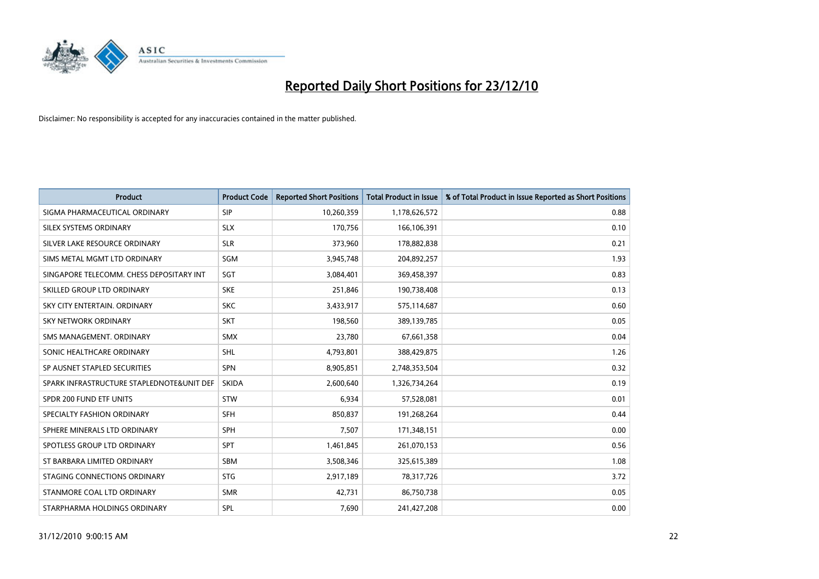

| Product                                   | <b>Product Code</b> | <b>Reported Short Positions</b> | <b>Total Product in Issue</b> | % of Total Product in Issue Reported as Short Positions |
|-------------------------------------------|---------------------|---------------------------------|-------------------------------|---------------------------------------------------------|
| SIGMA PHARMACEUTICAL ORDINARY             | <b>SIP</b>          | 10,260,359                      | 1,178,626,572                 | 0.88                                                    |
| SILEX SYSTEMS ORDINARY                    | <b>SLX</b>          | 170,756                         | 166,106,391                   | 0.10                                                    |
| SILVER LAKE RESOURCE ORDINARY             | <b>SLR</b>          | 373,960                         | 178,882,838                   | 0.21                                                    |
| SIMS METAL MGMT LTD ORDINARY              | SGM                 | 3,945,748                       | 204,892,257                   | 1.93                                                    |
| SINGAPORE TELECOMM. CHESS DEPOSITARY INT  | SGT                 | 3,084,401                       | 369,458,397                   | 0.83                                                    |
| SKILLED GROUP LTD ORDINARY                | <b>SKE</b>          | 251,846                         | 190,738,408                   | 0.13                                                    |
| SKY CITY ENTERTAIN, ORDINARY              | <b>SKC</b>          | 3,433,917                       | 575,114,687                   | 0.60                                                    |
| <b>SKY NETWORK ORDINARY</b>               | <b>SKT</b>          | 198,560                         | 389,139,785                   | 0.05                                                    |
| SMS MANAGEMENT, ORDINARY                  | <b>SMX</b>          | 23,780                          | 67,661,358                    | 0.04                                                    |
| SONIC HEALTHCARE ORDINARY                 | <b>SHL</b>          | 4,793,801                       | 388,429,875                   | 1.26                                                    |
| SP AUSNET STAPLED SECURITIES              | SPN                 | 8,905,851                       | 2,748,353,504                 | 0.32                                                    |
| SPARK INFRASTRUCTURE STAPLEDNOTE&UNIT DEF | <b>SKIDA</b>        | 2,600,640                       | 1,326,734,264                 | 0.19                                                    |
| SPDR 200 FUND ETF UNITS                   | <b>STW</b>          | 6,934                           | 57,528,081                    | 0.01                                                    |
| SPECIALTY FASHION ORDINARY                | <b>SFH</b>          | 850,837                         | 191,268,264                   | 0.44                                                    |
| SPHERE MINERALS LTD ORDINARY              | SPH                 | 7,507                           | 171,348,151                   | 0.00                                                    |
| SPOTLESS GROUP LTD ORDINARY               | SPT                 | 1,461,845                       | 261,070,153                   | 0.56                                                    |
| ST BARBARA LIMITED ORDINARY               | <b>SBM</b>          | 3,508,346                       | 325,615,389                   | 1.08                                                    |
| STAGING CONNECTIONS ORDINARY              | <b>STG</b>          | 2,917,189                       | 78,317,726                    | 3.72                                                    |
| STANMORE COAL LTD ORDINARY                | <b>SMR</b>          | 42,731                          | 86,750,738                    | 0.05                                                    |
| STARPHARMA HOLDINGS ORDINARY              | SPL                 | 7,690                           | 241,427,208                   | 0.00                                                    |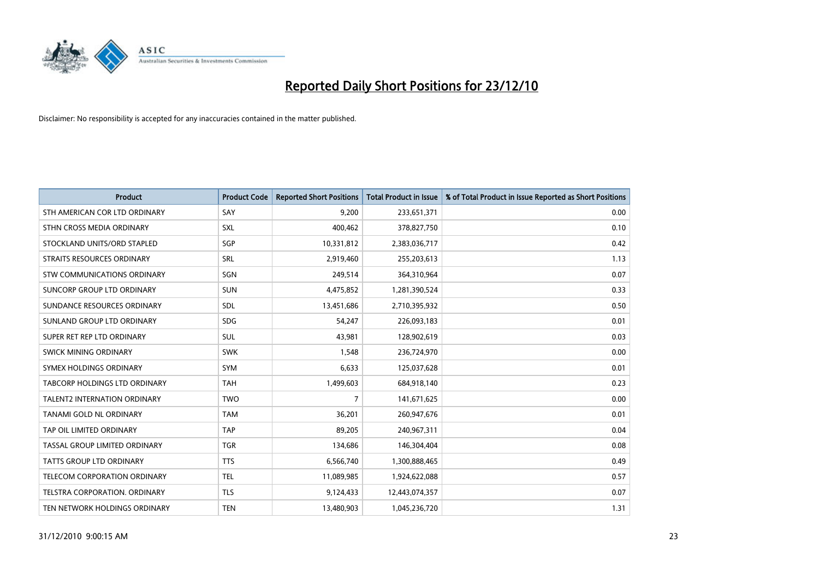

| <b>Product</b>                       | <b>Product Code</b> | <b>Reported Short Positions</b> | <b>Total Product in Issue</b> | % of Total Product in Issue Reported as Short Positions |
|--------------------------------------|---------------------|---------------------------------|-------------------------------|---------------------------------------------------------|
| STH AMERICAN COR LTD ORDINARY        | SAY                 | 9,200                           | 233,651,371                   | 0.00                                                    |
| STHN CROSS MEDIA ORDINARY            | <b>SXL</b>          | 400,462                         | 378,827,750                   | 0.10                                                    |
| STOCKLAND UNITS/ORD STAPLED          | SGP                 | 10,331,812                      | 2,383,036,717                 | 0.42                                                    |
| STRAITS RESOURCES ORDINARY           | <b>SRL</b>          | 2,919,460                       | 255,203,613                   | 1.13                                                    |
| STW COMMUNICATIONS ORDINARY          | SGN                 | 249,514                         | 364,310,964                   | 0.07                                                    |
| SUNCORP GROUP LTD ORDINARY           | <b>SUN</b>          | 4,475,852                       | 1,281,390,524                 | 0.33                                                    |
| SUNDANCE RESOURCES ORDINARY          | <b>SDL</b>          | 13,451,686                      | 2,710,395,932                 | 0.50                                                    |
| SUNLAND GROUP LTD ORDINARY           | <b>SDG</b>          | 54,247                          | 226,093,183                   | 0.01                                                    |
| SUPER RET REP LTD ORDINARY           | <b>SUL</b>          | 43,981                          | 128,902,619                   | 0.03                                                    |
| SWICK MINING ORDINARY                | <b>SWK</b>          | 1,548                           | 236,724,970                   | 0.00                                                    |
| SYMEX HOLDINGS ORDINARY              | <b>SYM</b>          | 6,633                           | 125,037,628                   | 0.01                                                    |
| <b>TABCORP HOLDINGS LTD ORDINARY</b> | <b>TAH</b>          | 1,499,603                       | 684,918,140                   | 0.23                                                    |
| TALENT2 INTERNATION ORDINARY         | <b>TWO</b>          | 7                               | 141,671,625                   | 0.00                                                    |
| <b>TANAMI GOLD NL ORDINARY</b>       | <b>TAM</b>          | 36,201                          | 260,947,676                   | 0.01                                                    |
| TAP OIL LIMITED ORDINARY             | TAP                 | 89,205                          | 240,967,311                   | 0.04                                                    |
| TASSAL GROUP LIMITED ORDINARY        | <b>TGR</b>          | 134,686                         | 146,304,404                   | 0.08                                                    |
| TATTS GROUP LTD ORDINARY             | <b>TTS</b>          | 6,566,740                       | 1,300,888,465                 | 0.49                                                    |
| TELECOM CORPORATION ORDINARY         | <b>TEL</b>          | 11,089,985                      | 1,924,622,088                 | 0.57                                                    |
| TELSTRA CORPORATION, ORDINARY        | <b>TLS</b>          | 9,124,433                       | 12,443,074,357                | 0.07                                                    |
| TEN NETWORK HOLDINGS ORDINARY        | <b>TEN</b>          | 13,480,903                      | 1,045,236,720                 | 1.31                                                    |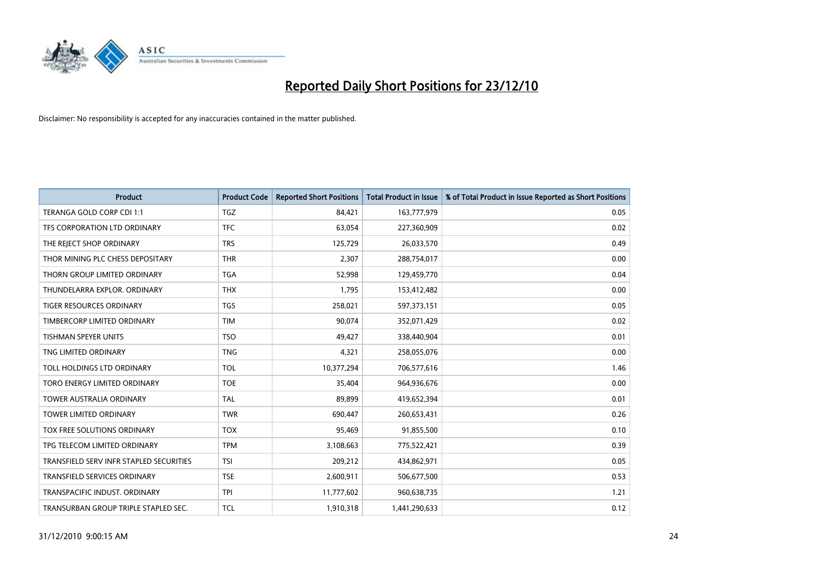

| Product                                 | <b>Product Code</b> | <b>Reported Short Positions</b> | <b>Total Product in Issue</b> | % of Total Product in Issue Reported as Short Positions |
|-----------------------------------------|---------------------|---------------------------------|-------------------------------|---------------------------------------------------------|
| TERANGA GOLD CORP CDI 1:1               | <b>TGZ</b>          | 84,421                          | 163,777,979                   | 0.05                                                    |
| TFS CORPORATION LTD ORDINARY            | <b>TFC</b>          | 63,054                          | 227,360,909                   | 0.02                                                    |
| THE REJECT SHOP ORDINARY                | <b>TRS</b>          | 125,729                         | 26,033,570                    | 0.49                                                    |
| THOR MINING PLC CHESS DEPOSITARY        | <b>THR</b>          | 2,307                           | 288,754,017                   | 0.00                                                    |
| THORN GROUP LIMITED ORDINARY            | <b>TGA</b>          | 52,998                          | 129,459,770                   | 0.04                                                    |
| THUNDELARRA EXPLOR, ORDINARY            | <b>THX</b>          | 1,795                           | 153,412,482                   | 0.00                                                    |
| <b>TIGER RESOURCES ORDINARY</b>         | <b>TGS</b>          | 258,021                         | 597,373,151                   | 0.05                                                    |
| TIMBERCORP LIMITED ORDINARY             | <b>TIM</b>          | 90,074                          | 352,071,429                   | 0.02                                                    |
| <b>TISHMAN SPEYER UNITS</b>             | <b>TSO</b>          | 49,427                          | 338,440,904                   | 0.01                                                    |
| TNG LIMITED ORDINARY                    | <b>TNG</b>          | 4,321                           | 258,055,076                   | 0.00                                                    |
| TOLL HOLDINGS LTD ORDINARY              | <b>TOL</b>          | 10,377,294                      | 706,577,616                   | 1.46                                                    |
| TORO ENERGY LIMITED ORDINARY            | <b>TOE</b>          | 35,404                          | 964,936,676                   | 0.00                                                    |
| TOWER AUSTRALIA ORDINARY                | <b>TAL</b>          | 89,899                          | 419,652,394                   | 0.01                                                    |
| <b>TOWER LIMITED ORDINARY</b>           | <b>TWR</b>          | 690,447                         | 260,653,431                   | 0.26                                                    |
| TOX FREE SOLUTIONS ORDINARY             | <b>TOX</b>          | 95,469                          | 91,855,500                    | 0.10                                                    |
| TPG TELECOM LIMITED ORDINARY            | <b>TPM</b>          | 3,108,663                       | 775,522,421                   | 0.39                                                    |
| TRANSFIELD SERV INFR STAPLED SECURITIES | <b>TSI</b>          | 209,212                         | 434,862,971                   | 0.05                                                    |
| TRANSFIELD SERVICES ORDINARY            | <b>TSE</b>          | 2,600,911                       | 506,677,500                   | 0.53                                                    |
| TRANSPACIFIC INDUST, ORDINARY           | <b>TPI</b>          | 11,777,602                      | 960,638,735                   | 1.21                                                    |
| TRANSURBAN GROUP TRIPLE STAPLED SEC.    | <b>TCL</b>          | 1,910,318                       | 1,441,290,633                 | 0.12                                                    |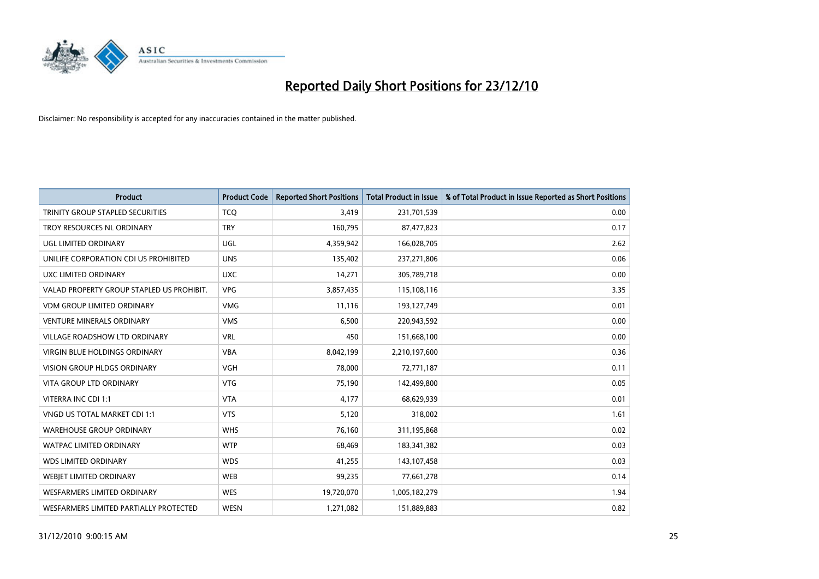

| <b>Product</b>                            | <b>Product Code</b> | <b>Reported Short Positions</b> | <b>Total Product in Issue</b> | % of Total Product in Issue Reported as Short Positions |
|-------------------------------------------|---------------------|---------------------------------|-------------------------------|---------------------------------------------------------|
| TRINITY GROUP STAPLED SECURITIES          | <b>TCQ</b>          | 3,419                           | 231,701,539                   | 0.00                                                    |
| TROY RESOURCES NL ORDINARY                | <b>TRY</b>          | 160,795                         | 87,477,823                    | 0.17                                                    |
| UGL LIMITED ORDINARY                      | <b>UGL</b>          | 4,359,942                       | 166,028,705                   | 2.62                                                    |
| UNILIFE CORPORATION CDI US PROHIBITED     | <b>UNS</b>          | 135,402                         | 237,271,806                   | 0.06                                                    |
| UXC LIMITED ORDINARY                      | <b>UXC</b>          | 14,271                          | 305,789,718                   | 0.00                                                    |
| VALAD PROPERTY GROUP STAPLED US PROHIBIT. | <b>VPG</b>          | 3,857,435                       | 115,108,116                   | 3.35                                                    |
| <b>VDM GROUP LIMITED ORDINARY</b>         | <b>VMG</b>          | 11,116                          | 193,127,749                   | 0.01                                                    |
| <b>VENTURE MINERALS ORDINARY</b>          | <b>VMS</b>          | 6,500                           | 220,943,592                   | 0.00                                                    |
| VILLAGE ROADSHOW LTD ORDINARY             | <b>VRL</b>          | 450                             | 151,668,100                   | 0.00                                                    |
| VIRGIN BLUE HOLDINGS ORDINARY             | <b>VBA</b>          | 8,042,199                       | 2,210,197,600                 | 0.36                                                    |
| <b>VISION GROUP HLDGS ORDINARY</b>        | <b>VGH</b>          | 78,000                          | 72,771,187                    | 0.11                                                    |
| <b>VITA GROUP LTD ORDINARY</b>            | <b>VTG</b>          | 75,190                          | 142,499,800                   | 0.05                                                    |
| VITERRA INC CDI 1:1                       | <b>VTA</b>          | 4,177                           | 68,629,939                    | 0.01                                                    |
| VNGD US TOTAL MARKET CDI 1:1              | <b>VTS</b>          | 5,120                           | 318,002                       | 1.61                                                    |
| <b>WAREHOUSE GROUP ORDINARY</b>           | <b>WHS</b>          | 76,160                          | 311,195,868                   | 0.02                                                    |
| <b>WATPAC LIMITED ORDINARY</b>            | <b>WTP</b>          | 68.469                          | 183,341,382                   | 0.03                                                    |
| <b>WDS LIMITED ORDINARY</b>               | <b>WDS</b>          | 41,255                          | 143,107,458                   | 0.03                                                    |
| WEBJET LIMITED ORDINARY                   | <b>WEB</b>          | 99,235                          | 77,661,278                    | 0.14                                                    |
| <b>WESFARMERS LIMITED ORDINARY</b>        | <b>WES</b>          | 19,720,070                      | 1,005,182,279                 | 1.94                                                    |
| WESFARMERS LIMITED PARTIALLY PROTECTED    | <b>WESN</b>         | 1,271,082                       | 151,889,883                   | 0.82                                                    |